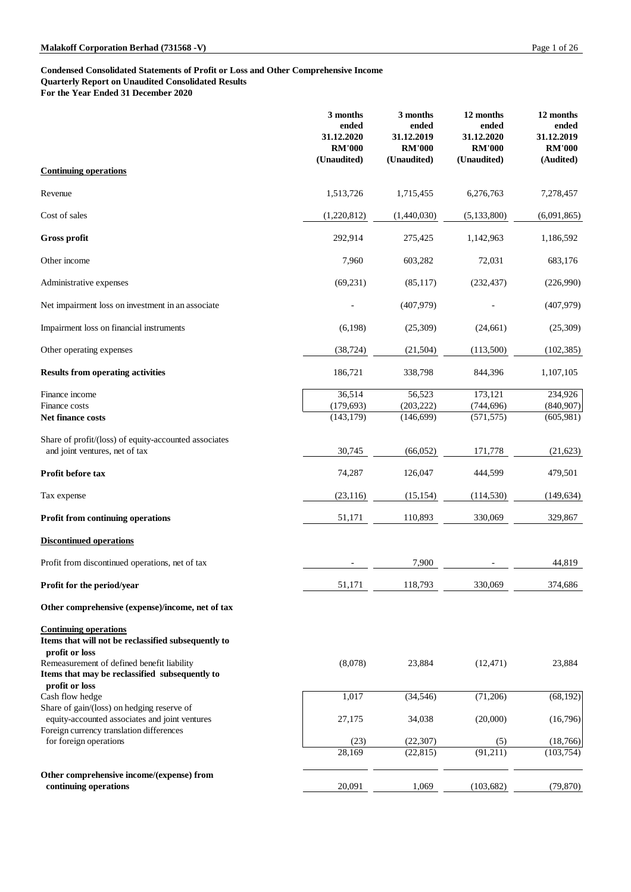### **Condensed Consolidated Statements of Profit or Loss and Other Comprehensive Income Quarterly Report on Unaudited Consolidated Results For the Year Ended 31 December 2020**

|                                                                                         | 3 months<br>ended<br>31.12.2020<br><b>RM'000</b> | 3 months<br>ended<br>31.12.2019<br><b>RM'000</b> | 12 months<br>ended<br>31.12.2020<br><b>RM'000</b> | 12 months<br>ended<br>31.12.2019<br><b>RM'000</b> |
|-----------------------------------------------------------------------------------------|--------------------------------------------------|--------------------------------------------------|---------------------------------------------------|---------------------------------------------------|
| <b>Continuing operations</b>                                                            | (Unaudited)                                      | (Unaudited)                                      | (Unaudited)                                       | (Audited)                                         |
| Revenue                                                                                 | 1,513,726                                        | 1,715,455                                        | 6,276,763                                         | 7,278,457                                         |
| Cost of sales                                                                           | (1,220,812)                                      | (1,440,030)                                      | (5, 133, 800)                                     | (6,091,865)                                       |
| <b>Gross profit</b>                                                                     | 292,914                                          | 275,425                                          | 1,142,963                                         | 1,186,592                                         |
| Other income                                                                            | 7,960                                            | 603,282                                          | 72,031                                            | 683,176                                           |
| Administrative expenses                                                                 | (69, 231)                                        | (85,117)                                         | (232, 437)                                        | (226,990)                                         |
| Net impairment loss on investment in an associate                                       |                                                  | (407, 979)                                       |                                                   | (407,979)                                         |
| Impairment loss on financial instruments                                                | (6,198)                                          | (25,309)                                         | (24,661)                                          | (25,309)                                          |
| Other operating expenses                                                                | (38, 724)                                        | (21,504)                                         | (113,500)                                         | (102, 385)                                        |
| <b>Results from operating activities</b>                                                | 186,721                                          | 338,798                                          | 844,396                                           | 1,107,105                                         |
| Finance income<br>Finance costs<br>Net finance costs                                    | 36,514<br>(179, 693)<br>(143, 179)               | 56,523<br>(203, 222)<br>(146, 699)               | 173,121<br>(744, 696)<br>(571, 575)               | 234,926<br>(840,907)<br>(605,981)                 |
| Share of profit/(loss) of equity-accounted associates<br>and joint ventures, net of tax | 30,745                                           | (66,052)                                         | 171,778                                           | (21, 623)                                         |
| Profit before tax                                                                       | 74,287                                           | 126,047                                          | 444,599                                           | 479,501                                           |
| Tax expense                                                                             | (23,116)                                         | (15, 154)                                        | (114, 530)                                        | (149, 634)                                        |
| <b>Profit from continuing operations</b>                                                | 51,171                                           | 110,893                                          | 330,069                                           | 329,867                                           |
| <b>Discontinued operations</b>                                                          |                                                  |                                                  |                                                   |                                                   |
| Profit from discontinued operations, net of tax                                         |                                                  | 7,900                                            |                                                   | 44,819                                            |
| Profit for the period/year                                                              | 51,171                                           | 118,793                                          | 330,069                                           | 374,686                                           |

Remeasurement of defined benefit liability **Items that may be reclassified subsequently to**

# **Other comprehensive (expense)/income, net of tax**

# **Continuing operations**

### **Items that will not be reclassified subsequently to**

**profit or loss**

### **profit or loss**

 $\cosh f$  flow hedge

| emeasurement of defined benefit liability      | (8,078) | 23,884    | (12, 471)  | 23,884    |
|------------------------------------------------|---------|-----------|------------|-----------|
| tems that may be reclassified subsequently to  |         |           |            |           |
| profit or loss                                 |         |           |            |           |
| ash flow hedge                                 | 1,017   | (34, 546) | (71,206)   | (68, 192) |
| hare of gain/(loss) on hedging reserve of      |         |           |            |           |
| equity-accounted associates and joint ventures | 27,175  | 34,038    | (20,000)   | (16,796)  |
| oreign currency translation differences        |         |           |            |           |
| for foreign operations                         | (23)    | (22, 307) | (5)        | (18,766)  |
|                                                | 28,169  | (22, 815) | (91,211)   | (103,754) |
| ther comprehensive income/(expense) from       |         |           |            |           |
| continuing operations                          | 20,091  | 1,069     | (103, 682) | (79, 870) |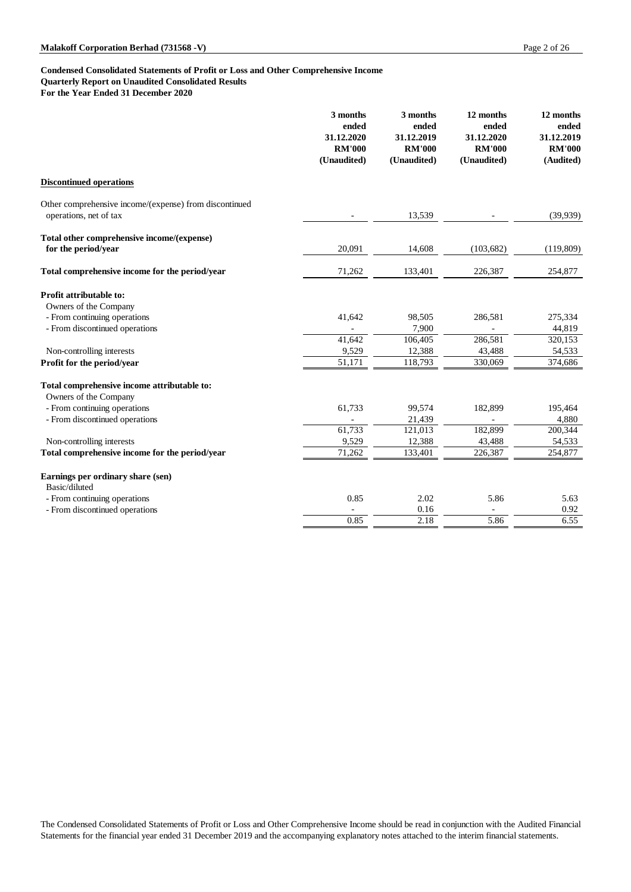## **Condensed Consolidated Statements of Profit or Loss and Other Comprehensive Income Quarterly Report on Unaudited Consolidated Results**

**For the Year Ended 31 December 2020**

|                                                                                  | 3 months<br>ended<br>31.12.2020<br><b>RM'000</b><br>(Unaudited) | 3 months<br>ended<br>31.12.2019<br><b>RM'000</b><br>(Unaudited) | 12 months<br>ended<br>31.12.2020<br><b>RM'000</b><br>(Unaudited) | 12 months<br>ended<br>31.12.2019<br><b>RM'000</b><br>(Audited) |
|----------------------------------------------------------------------------------|-----------------------------------------------------------------|-----------------------------------------------------------------|------------------------------------------------------------------|----------------------------------------------------------------|
| <b>Discontinued operations</b>                                                   |                                                                 |                                                                 |                                                                  |                                                                |
| Other comprehensive income/(expense) from discontinued<br>operations, net of tax |                                                                 | 13,539                                                          |                                                                  | (39, 939)                                                      |
| Total other comprehensive income/(expense)<br>for the period/year                | 20,091                                                          | 14,608                                                          | (103, 682)                                                       | (119,809)                                                      |
| Total comprehensive income for the period/year                                   | 71,262                                                          | 133,401                                                         | 226,387                                                          | 254,877                                                        |
| <b>Profit attributable to:</b><br>Owners of the Company                          |                                                                 |                                                                 |                                                                  |                                                                |
| - From continuing operations                                                     | 41,642                                                          | 98,505                                                          | 286,581                                                          | 275,334                                                        |
| - From discontinued operations                                                   |                                                                 | 7,900                                                           |                                                                  | 44,819                                                         |
|                                                                                  | 41,642                                                          | 106,405                                                         | 286,581                                                          | 320,153                                                        |
| Non-controlling interests                                                        | 9,529                                                           | 12,388                                                          | 43,488                                                           | 54,533                                                         |
| Profit for the period/year                                                       | 51,171                                                          | 118,793                                                         | 330,069                                                          | 374,686                                                        |
| Total comprehensive income attributable to:<br>Owners of the Company             |                                                                 |                                                                 |                                                                  |                                                                |
| - From continuing operations                                                     | 61,733                                                          | 99,574                                                          | 182,899                                                          | 195,464                                                        |
| - From discontinued operations                                                   |                                                                 | 21,439                                                          |                                                                  | 4,880                                                          |
|                                                                                  | 61,733                                                          | 121,013                                                         | 182,899                                                          | 200,344                                                        |
| Non-controlling interests                                                        | 9,529                                                           | 12,388                                                          | 43,488                                                           | 54,533                                                         |
| Total comprehensive income for the period/year                                   | 71,262                                                          | 133,401                                                         | 226,387                                                          | 254,877                                                        |
| Earnings per ordinary share (sen)<br>Basic/diluted                               |                                                                 |                                                                 |                                                                  |                                                                |
| - From continuing operations                                                     | 0.85                                                            | 2.02                                                            | 5.86                                                             | 5.63                                                           |
| - From discontinued operations                                                   |                                                                 | 0.16                                                            |                                                                  | 0.92                                                           |
|                                                                                  | 0.85                                                            | 2.18                                                            | 5.86                                                             | 6.55                                                           |

The Condensed Consolidated Statements of Profit or Loss and Other Comprehensive Income should be read in conjunction with the Audited Financial Statements for the financial year ended 31 December 2019 and the accompanying explanatory notes attached to the interim financial statements.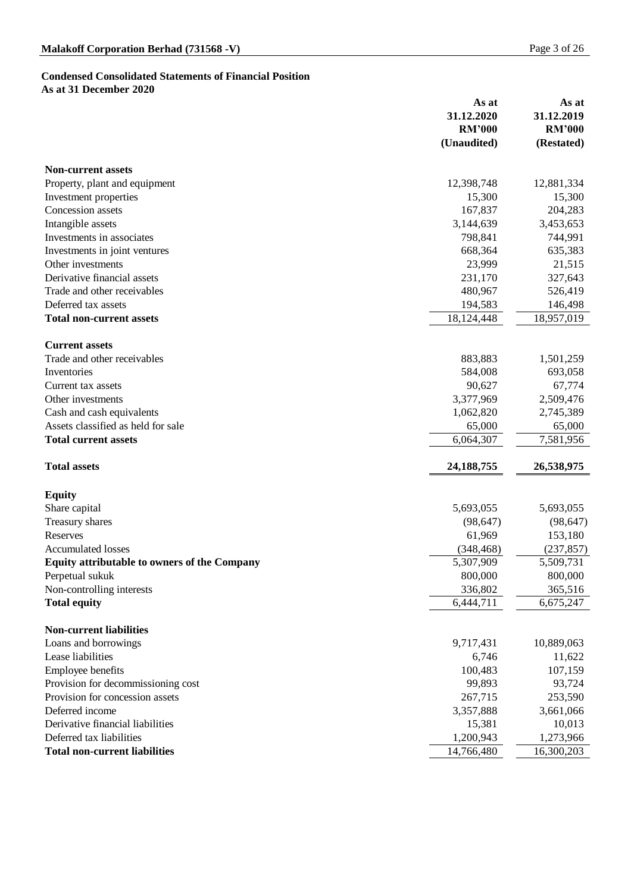### **Condensed Consolidated Statements of Financial Position As at 31 December 2020**

|                                                     | As at<br>31.12.2020<br><b>RM'000</b><br>(Unaudited) | As at<br>31.12.2019<br><b>RM'000</b><br>(Restated) |
|-----------------------------------------------------|-----------------------------------------------------|----------------------------------------------------|
| <b>Non-current assets</b>                           |                                                     |                                                    |
| Property, plant and equipment                       | 12,398,748                                          | 12,881,334                                         |
| Investment properties                               | 15,300                                              | 15,300                                             |
| <b>Concession assets</b>                            | 167,837                                             | 204,283                                            |
| Intangible assets                                   | 3,144,639                                           | 3,453,653                                          |
| Investments in associates                           | 798,841                                             | 744,991                                            |
| Investments in joint ventures                       | 668,364                                             | 635,383                                            |
| Other investments                                   | 23,999                                              | 21,515                                             |
| Derivative financial assets                         | 231,170                                             | 327,643                                            |
| Trade and other receivables                         | 480,967                                             | 526,419                                            |
| Deferred tax assets                                 | 194,583                                             | 146,498                                            |
| <b>Total non-current assets</b>                     | 18, 124, 448                                        | 18,957,019                                         |
| <b>Current assets</b>                               |                                                     |                                                    |
| Trade and other receivables                         | 883,883                                             | 1,501,259                                          |
| Inventories                                         | 584,008                                             | 693,058                                            |
| Current tax assets                                  | 90,627                                              | 67,774                                             |
| Other investments                                   | 3,377,969                                           | 2,509,476                                          |
| Cash and cash equivalents                           | 1,062,820                                           | 2,745,389                                          |
| Assets classified as held for sale                  | 65,000                                              | 65,000                                             |
| <b>Total current assets</b>                         | 6,064,307                                           | 7,581,956                                          |
| <b>Total assets</b>                                 | 24, 188, 755                                        | 26,538,975                                         |
| <b>Equity</b>                                       |                                                     |                                                    |
| Share capital                                       | 5,693,055                                           | 5,693,055                                          |
| <b>Treasury shares</b>                              | (98, 647)                                           | (98, 647)                                          |
| <b>Reserves</b>                                     | 61,969                                              | 153,180                                            |
| <b>Accumulated losses</b>                           | (348, 468)                                          | (237, 857)                                         |
| <b>Equity attributable to owners of the Company</b> | 5,307,909                                           | 5,509,731                                          |
| Perpetual sukuk                                     | 800,000                                             | 800,000                                            |
| Non-controlling interests                           | 336,802                                             | 365,516                                            |
| <b>Total equity</b>                                 | 6,444,711                                           | 6,675,247                                          |
| <b>Non-current liabilities</b>                      |                                                     |                                                    |
| Loans and borrowings                                | 9,717,431                                           | 10,889,063                                         |
| Lease liabilities                                   | 6,746                                               | 11,622                                             |
| <b>Employee benefits</b>                            | 100,483                                             | 107,159                                            |
| Provision for decommissioning cost                  | 99,893                                              | 93,724                                             |
|                                                     |                                                     |                                                    |

| Provision for concession assets      | 267,715    | 253,590    |
|--------------------------------------|------------|------------|
| Deferred income                      | 3,357,888  | 3,661,066  |
| Derivative financial liabilities     | 15.381     | 10,013     |
| Deferred tax liabilities             | 1,200,943  | 1,273,966  |
| <b>Total non-current liabilities</b> | 14,766,480 | 16,300,203 |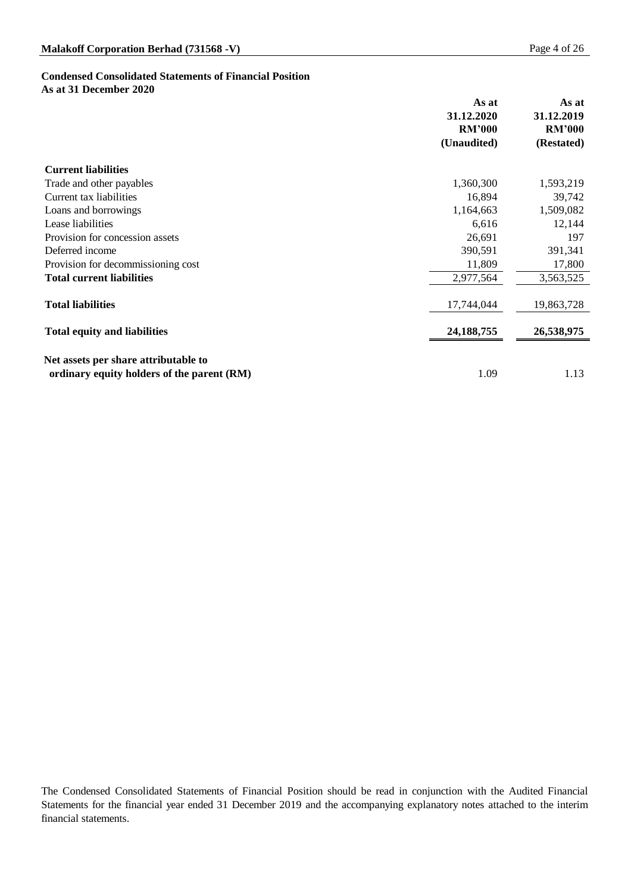# **Condensed Consolidated Statements of Financial Position**

**As at 31 December 2020**

|                                            | As at<br>31.12.2020<br><b>RM'000</b><br>(Unaudited) | As at<br>31.12.2019<br><b>RM'000</b><br>(Restated) |
|--------------------------------------------|-----------------------------------------------------|----------------------------------------------------|
| <b>Current liabilities</b>                 |                                                     |                                                    |
| Trade and other payables                   | 1,360,300                                           | 1,593,219                                          |
| Current tax liabilities                    | 16,894                                              | 39,742                                             |
| Loans and borrowings                       | 1,164,663                                           | 1,509,082                                          |
| Lease liabilities                          | 6,616                                               | 12,144                                             |
| Provision for concession assets            | 26,691                                              | 197                                                |
| Deferred income                            | 390,591                                             | 391,341                                            |
| Provision for decommissioning cost         | 11,809                                              | 17,800                                             |
| <b>Total current liabilities</b>           | 2,977,564                                           | 3,563,525                                          |
| <b>Total liabilities</b>                   | 17,744,044                                          | 19,863,728                                         |
| <b>Total equity and liabilities</b>        | 24, 188, 755                                        | 26,538,975                                         |
| Net assets per share attributable to       |                                                     |                                                    |
| ordinary equity holders of the parent (RM) | 1.09                                                | 1.13                                               |

The Condensed Consolidated Statements of Financial Position should be read in conjunction with the Audited Financial Statements for the financial year ended 31 December 2019 and the accompanying explanatory notes attached to the interim financial statements.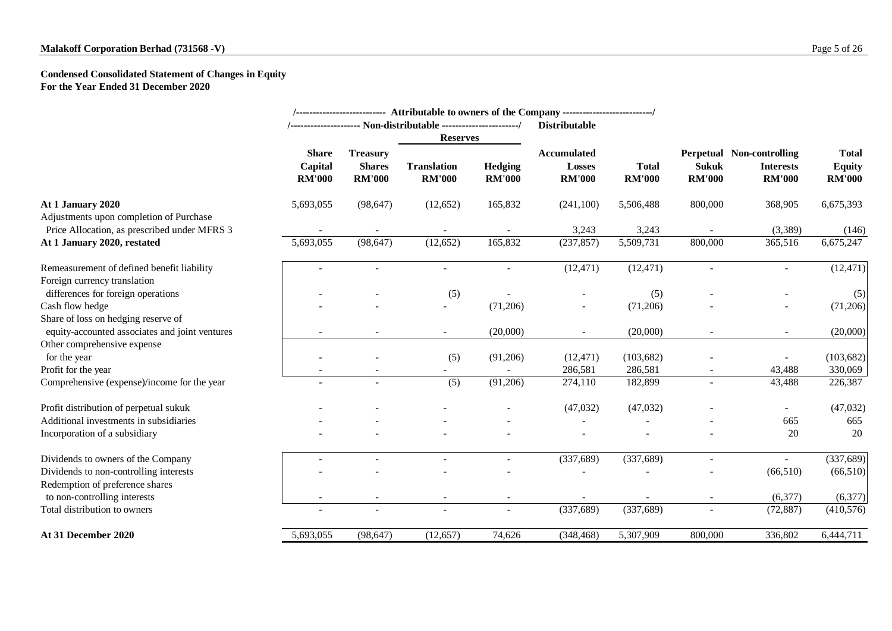### **Condensed Consolidated Statement of Changes in Equity For the Year Ended 31 December 2020**

|                                                |                                          |                                                   |                                     |                                 | /--------------------------- Attributable to owners of the Company -------------------------/ |                               |                               |                                                                       |                                                |
|------------------------------------------------|------------------------------------------|---------------------------------------------------|-------------------------------------|---------------------------------|-----------------------------------------------------------------------------------------------|-------------------------------|-------------------------------|-----------------------------------------------------------------------|------------------------------------------------|
|                                                |                                          |                                                   |                                     |                                 | <b>Distributable</b>                                                                          |                               |                               |                                                                       |                                                |
|                                                |                                          |                                                   | <b>Reserves</b>                     |                                 |                                                                                               |                               |                               |                                                                       |                                                |
|                                                | <b>Share</b><br>Capital<br><b>RM'000</b> | <b>Treasury</b><br><b>Shares</b><br><b>RM'000</b> | <b>Translation</b><br><b>RM'000</b> | <b>Hedging</b><br><b>RM'000</b> | <b>Accumulated</b><br><b>Losses</b><br><b>RM'000</b>                                          | <b>Total</b><br><b>RM'000</b> | <b>Sukuk</b><br><b>RM'000</b> | <b>Perpetual Non-controlling</b><br><b>Interests</b><br><b>RM'000</b> | <b>Total</b><br><b>Equity</b><br><b>RM'000</b> |
| At 1 January 2020                              | 5,693,055                                | (98, 647)                                         | (12,652)                            | 165,832                         | (241,100)                                                                                     | 5,506,488                     | 800,000                       | 368,905                                                               | 6,675,393                                      |
| Adjustments upon completion of Purchase        |                                          |                                                   |                                     |                                 |                                                                                               |                               |                               |                                                                       |                                                |
| Price Allocation, as prescribed under MFRS 3   |                                          |                                                   |                                     |                                 | 3,243                                                                                         | 3,243                         |                               | (3,389)                                                               | (146)                                          |
| At 1 January 2020, restated                    | 5,693,055                                | (98, 647)                                         | (12,652)                            | 165,832                         | (237, 857)                                                                                    | 5,509,731                     | 800,000                       | 365,516                                                               | 6,675,247                                      |
| Remeasurement of defined benefit liability     |                                          |                                                   |                                     |                                 | (12, 471)                                                                                     | (12, 471)                     |                               |                                                                       | (12, 471)                                      |
| Foreign currency translation                   |                                          |                                                   |                                     |                                 |                                                                                               |                               |                               |                                                                       |                                                |
| differences for foreign operations             |                                          |                                                   | (5)                                 |                                 |                                                                                               | (5)                           |                               |                                                                       | (5)                                            |
| Cash flow hedge                                |                                          |                                                   | $\overline{\phantom{a}}$            | (71,206)                        | $\overline{\phantom{a}}$                                                                      | (71,206)                      |                               |                                                                       | (71,206)                                       |
| Share of loss on hedging reserve of            |                                          |                                                   |                                     |                                 |                                                                                               |                               |                               |                                                                       |                                                |
| equity-accounted associates and joint ventures |                                          |                                                   | $\overline{\phantom{a}}$            | (20,000)                        | $\overline{\phantom{a}}$                                                                      | (20,000)                      | $\overline{\phantom{a}}$      | $\sim$                                                                | (20,000)                                       |
| Other comprehensive expense                    |                                          |                                                   |                                     |                                 |                                                                                               |                               |                               |                                                                       |                                                |
| for the year                                   |                                          |                                                   | (5)                                 | (91,206)                        | (12, 471)                                                                                     | (103, 682)                    |                               |                                                                       | (103, 682)                                     |
| Profit for the year                            |                                          |                                                   |                                     |                                 | 286,581                                                                                       | 286,581                       |                               | 43,488                                                                | 330,069                                        |
| Comprehensive (expense)/income for the year    |                                          | $\overline{\phantom{a}}$                          | (5)                                 | (91,206)                        | 274,110                                                                                       | 182,899                       |                               | 43,488                                                                | 226,387                                        |
| Profit distribution of perpetual sukuk         |                                          |                                                   |                                     |                                 | (47,032)                                                                                      | (47,032)                      |                               |                                                                       | (47, 032)                                      |
| Additional investments in subsidiaries         |                                          |                                                   |                                     |                                 |                                                                                               |                               |                               | 665                                                                   | 665                                            |
| Incorporation of a subsidiary                  |                                          |                                                   |                                     |                                 |                                                                                               |                               |                               | 20                                                                    | 20                                             |
| Dividends to owners of the Company             |                                          |                                                   |                                     |                                 | (337,689)                                                                                     | (337, 689)                    |                               | $\overline{\phantom{a}}$                                              | (337, 689)                                     |
| Dividends to non-controlling interests         |                                          |                                                   |                                     |                                 |                                                                                               |                               |                               | (66,510)                                                              | (66,510)                                       |
| Redemption of preference shares                |                                          |                                                   |                                     |                                 |                                                                                               |                               |                               |                                                                       |                                                |
| to non-controlling interests                   |                                          |                                                   |                                     | $\overline{\phantom{a}}$        |                                                                                               |                               | $\overline{\phantom{a}}$      | (6,377)                                                               | (6,377)                                        |
| Total distribution to owners                   |                                          |                                                   |                                     | $\overline{\phantom{a}}$        | (337,689)                                                                                     | (337, 689)                    | $\overline{\phantom{a}}$      | (72, 887)                                                             | (410,576)                                      |
| <b>At 31 December 2020</b>                     | 5,693,055                                | (98, 647)                                         | (12, 657)                           | 74,626                          | (348, 468)                                                                                    | 5,307,909                     | 800,000                       | 336,802                                                               | 6,444,711                                      |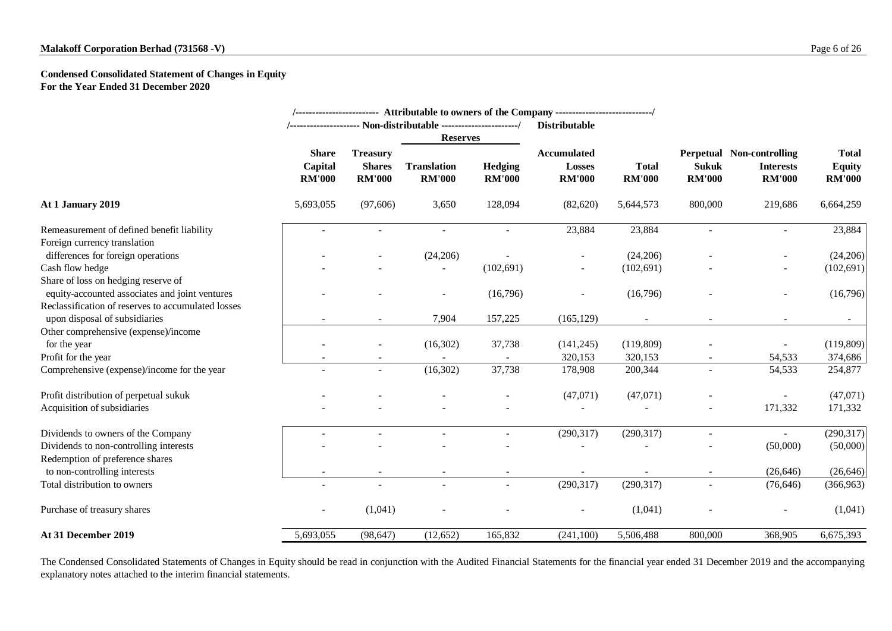### **Condensed Consolidated Statement of Changes in Equity For the Year Ended 31 December 2020**

| <b>Reserves</b><br><b>Share</b><br><b>Treasury</b>                                                | <b>Hedging</b><br><b>RM'000</b> | <b>Distributable</b><br><b>Accumulated</b><br><b>Losses</b> |                               |                               |                                                                       |                                                |
|---------------------------------------------------------------------------------------------------|---------------------------------|-------------------------------------------------------------|-------------------------------|-------------------------------|-----------------------------------------------------------------------|------------------------------------------------|
|                                                                                                   |                                 |                                                             |                               |                               |                                                                       |                                                |
|                                                                                                   |                                 |                                                             |                               |                               |                                                                       |                                                |
| Capital<br><b>Shares</b><br><b>Translation</b><br><b>RM'000</b><br><b>RM'000</b><br><b>RM'000</b> |                                 | <b>RM'000</b>                                               | <b>Total</b><br><b>RM'000</b> | <b>Sukuk</b><br><b>RM'000</b> | <b>Perpetual Non-controlling</b><br><b>Interests</b><br><b>RM'000</b> | <b>Total</b><br><b>Equity</b><br><b>RM'000</b> |
| At 1 January 2019<br>5,693,055<br>(97,606)<br>3,650                                               | 128,094                         | (82,620)                                                    | 5,644,573                     | 800,000                       | 219,686                                                               | 6,664,259                                      |
| Remeasurement of defined benefit liability                                                        |                                 | 23,884                                                      | 23,884                        |                               |                                                                       | 23,884                                         |
| Foreign currency translation                                                                      |                                 |                                                             |                               |                               |                                                                       |                                                |
| differences for foreign operations<br>(24,206)                                                    |                                 | $\sim$                                                      | (24,206)                      |                               | $\overline{\phantom{a}}$                                              | (24,206)                                       |
| Cash flow hedge                                                                                   | (102,691)                       | $\overline{\phantom{a}}$                                    | (102, 691)                    |                               |                                                                       | (102, 691)                                     |
| Share of loss on hedging reserve of                                                               |                                 |                                                             |                               |                               |                                                                       |                                                |
| equity-accounted associates and joint ventures                                                    | (16,796)                        |                                                             | (16,796)                      |                               |                                                                       | (16,796)                                       |
| Reclassification of reserves to accumulated losses                                                |                                 |                                                             |                               |                               |                                                                       |                                                |
| upon disposal of subsidiaries<br>7,904                                                            | 157,225                         | (165, 129)                                                  |                               |                               |                                                                       |                                                |
| Other comprehensive (expense)/income                                                              |                                 |                                                             |                               |                               |                                                                       |                                                |
| (16,302)<br>for the year                                                                          | 37,738                          | (141, 245)                                                  | (119,809)                     |                               |                                                                       | (119,809)                                      |
| Profit for the year                                                                               |                                 | 320,153                                                     | 320,153                       | $\sim$                        | 54,533                                                                | 374,686                                        |
| Comprehensive (expense)/income for the year<br>(16,302)<br>$\sim$                                 | 37,738                          | 178,908                                                     | 200,344                       |                               | 54,533                                                                | 254,877                                        |
| Profit distribution of perpetual sukuk                                                            |                                 | (47,071)                                                    | (47,071)                      |                               |                                                                       | (47,071)                                       |
| Acquisition of subsidiaries                                                                       |                                 |                                                             |                               |                               | 171,332                                                               | 171,332                                        |
| Dividends to owners of the Company                                                                |                                 | (290, 317)                                                  | (290, 317)                    |                               | $\sim$                                                                | (290, 317)                                     |
| Dividends to non-controlling interests                                                            |                                 |                                                             |                               |                               | (50,000)                                                              | (50,000)                                       |
| Redemption of preference shares                                                                   |                                 |                                                             |                               |                               |                                                                       |                                                |
| to non-controlling interests                                                                      |                                 |                                                             |                               |                               | (26, 646)                                                             | (26, 646)                                      |
| Total distribution to owners<br>$\sim$<br>$\overline{\phantom{a}}$                                | $\blacksquare$                  | (290, 317)                                                  | (290, 317)                    | $\overline{\phantom{a}}$      | (76, 646)                                                             | (366, 963)                                     |
| (1,041)<br>Purchase of treasury shares<br>$\overline{\phantom{a}}$                                | $\overline{\phantom{a}}$        | $\overline{\phantom{a}}$                                    | (1,041)                       |                               | $\sim$                                                                | (1,041)                                        |
| At 31 December 2019<br>5,693,055<br>(98, 647)<br>(12,652)                                         | 165,832                         | (241,100)                                                   | 5,506,488                     | 800,000                       | 368,905                                                               | 6,675,393                                      |

The Condensed Consolidated Statements of Changes in Equity should be read in conjunction with the Audited Financial Statements for the financial year ended 31 December 2019 and the accompanying explanatory notes attached to the interim financial statements.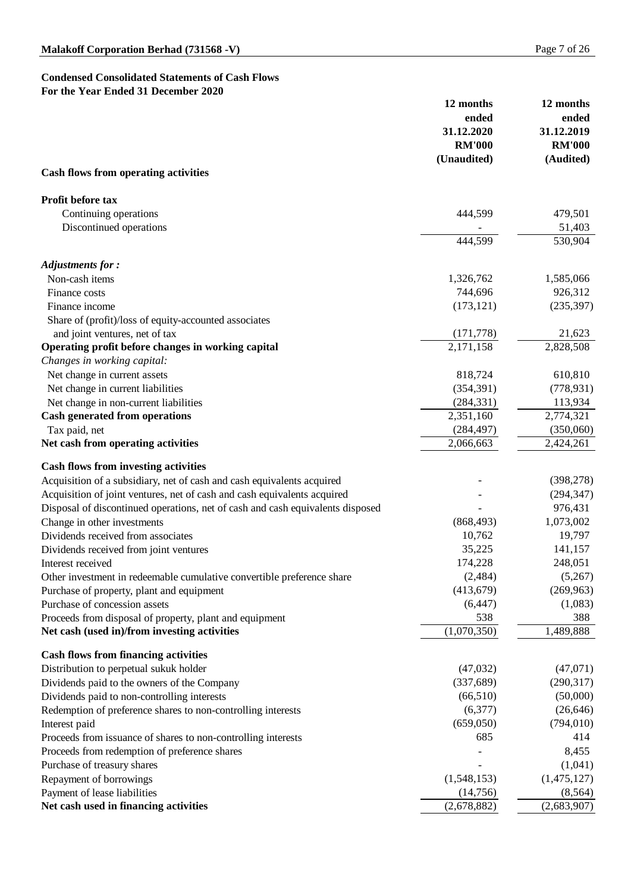### **Condensed Consolidated Statements of Cash Flows For the Year Ended 31 December 2020**

| For the year Ended 31 December 2020                                            | 12 months<br>ended<br>31.12.2020<br><b>RM'000</b><br>(Unaudited) | 12 months<br>ended<br>31.12.2019<br><b>RM'000</b> |
|--------------------------------------------------------------------------------|------------------------------------------------------------------|---------------------------------------------------|
| <b>Cash flows from operating activities</b>                                    |                                                                  | (Audited)                                         |
| <b>Profit before tax</b>                                                       |                                                                  |                                                   |
| Continuing operations                                                          | 444,599                                                          | 479,501                                           |
| Discontinued operations                                                        |                                                                  | 51,403                                            |
|                                                                                | 444,599                                                          | 530,904                                           |
| <b>Adjustments for:</b>                                                        |                                                                  |                                                   |
| Non-cash items                                                                 | 1,326,762                                                        | 1,585,066                                         |
| Finance costs                                                                  | 744,696                                                          | 926,312                                           |
| Finance income                                                                 | (173, 121)                                                       | (235, 397)                                        |
| Share of (profit)/loss of equity-accounted associates                          |                                                                  |                                                   |
| and joint ventures, net of tax                                                 | (171, 778)                                                       | 21,623                                            |
| Operating profit before changes in working capital                             | 2,171,158                                                        | 2,828,508                                         |
| Changes in working capital:                                                    |                                                                  |                                                   |
| Net change in current assets                                                   | 818,724                                                          | 610,810                                           |
| Net change in current liabilities                                              | (354, 391)                                                       | (778, 931)                                        |
| Net change in non-current liabilities                                          | (284, 331)                                                       | 113,934                                           |
| <b>Cash generated from operations</b>                                          | 2,351,160                                                        | 2,774,321                                         |
| Tax paid, net                                                                  | (284, 497)                                                       | (350,060)                                         |
| Net cash from operating activities                                             | 2,066,663                                                        | 2,424,261                                         |
| <b>Cash flows from investing activities</b>                                    |                                                                  |                                                   |
| Acquisition of a subsidiary, net of cash and cash equivalents acquired         |                                                                  | (398, 278)                                        |
| Acquisition of joint ventures, net of cash and cash equivalents acquired       |                                                                  | (294, 347)                                        |
| Disposal of discontinued operations, net of cash and cash equivalents disposed |                                                                  | 976,431                                           |
| Change in other investments                                                    | (868, 493)                                                       | 1,073,002                                         |
| Dividends received from associates                                             | 10,762                                                           | 19,797                                            |
| Dividends received from joint ventures                                         | 35,225                                                           | 141,157                                           |
| Interest received                                                              | 174,228                                                          | 248,051                                           |
| Other investment in redeemable cumulative convertible preference share         | (2,484)                                                          | (5,267)                                           |
| Purchase of property, plant and equipment                                      | (413,679)                                                        | (269, 963)                                        |
| Purchase of concession assets                                                  | (6, 447)                                                         | (1,083)                                           |
| Proceeds from disposal of property, plant and equipment                        | 538                                                              | 388                                               |
| Net cash (used in)/from investing activities                                   | (1,070,350)                                                      | 1,489,888                                         |
| <b>Cash flows from financing activities</b>                                    |                                                                  |                                                   |
| Distribution to perpetual sukuk holder                                         | (47,032)                                                         | (47,071)                                          |
| Dividends paid to the owners of the Company                                    | (337,689)                                                        | (290, 317)                                        |
| Dividends paid to non-controlling interests                                    | (66,510)                                                         | (50,000)                                          |
| Redemption of preference shares to non-controlling interests                   | (6,377)                                                          | (26, 646)                                         |
| Interest paid                                                                  | (659,050)                                                        | (794, 010)                                        |
| Proceeds from issuance of shares to non-controlling interests                  | 685                                                              | 414                                               |
| Proceeds from redemption of preference shares                                  |                                                                  | 8,455                                             |
| Purchase of treasury shares                                                    |                                                                  | (1,041)                                           |
| Repayment of borrowings                                                        | (1,548,153)                                                      | (1,475,127)                                       |
| Payment of lease liabilities                                                   | (14,756)                                                         | (8, 564)                                          |
| Net cash used in financing activities                                          | (2,678,882)                                                      | (2,683,907)                                       |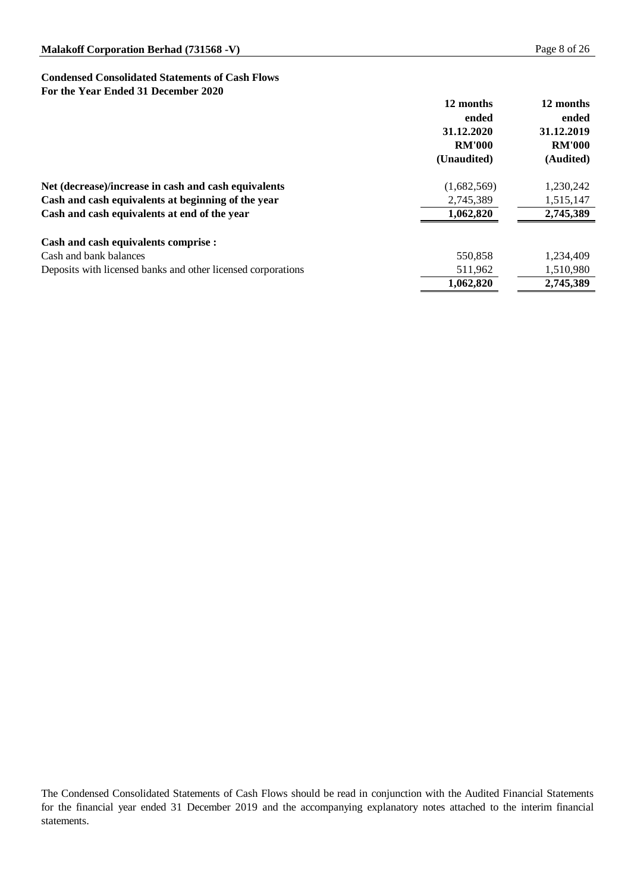### **Condensed Consolidated Statements of Cash Flows For the Year Ended 31 December 2020**

|                                                              | 12 months<br>ended<br>31.12.2020<br><b>RM'000</b><br>(Unaudited) | 12 months<br>ended<br>31.12.2019<br><b>RM'000</b><br>(Audited) |
|--------------------------------------------------------------|------------------------------------------------------------------|----------------------------------------------------------------|
| Net (decrease)/increase in cash and cash equivalents         | (1,682,569)                                                      | 1,230,242                                                      |
| Cash and cash equivalents at beginning of the year           | 2,745,389                                                        | 1,515,147                                                      |
| Cash and cash equivalents at end of the year                 | 1,062,820                                                        | 2,745,389                                                      |
| <b>Cash and cash equivalents comprise :</b>                  |                                                                  |                                                                |
| Cash and bank balances                                       | 550,858                                                          | 1,234,409                                                      |
| Deposits with licensed banks and other licensed corporations | 511,962                                                          | 1,510,980                                                      |
|                                                              | 1,062,820                                                        | 2,745,389                                                      |

The Condensed Consolidated Statements of Cash Flows should be read in conjunction with the Audited Financial Statements for the financial year ended 31 December 2019 and the accompanying explanatory notes attached to the interim financial statements.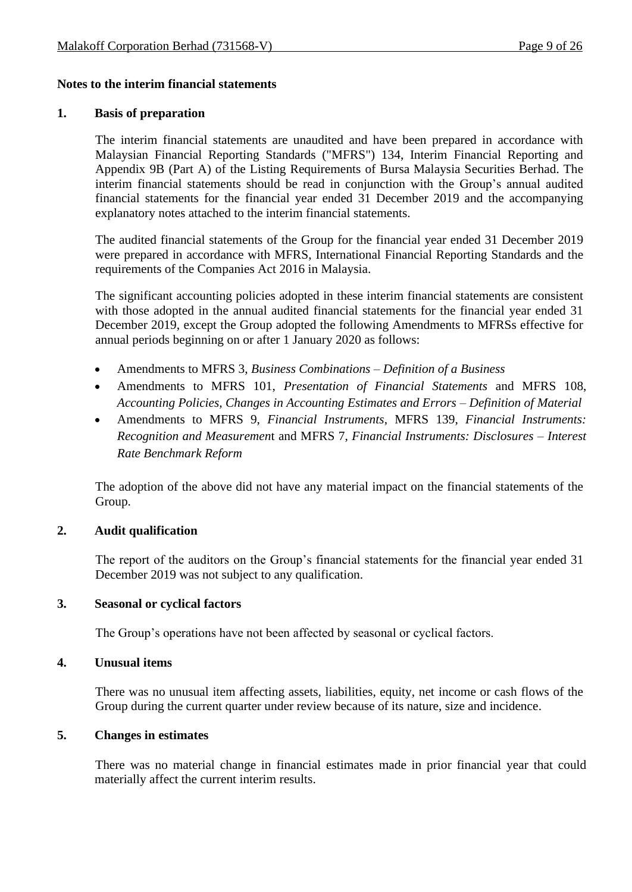### **Notes to the interim financial statements**

#### **1. Basis of preparation**

The interim financial statements are unaudited and have been prepared in accordance with Malaysian Financial Reporting Standards ("MFRS") 134, Interim Financial Reporting and Appendix 9B (Part A) of the Listing Requirements of Bursa Malaysia Securities Berhad. The interim financial statements should be read in conjunction with the Group's annual audited financial statements for the financial year ended 31 December 2019 and the accompanying explanatory notes attached to the interim financial statements.

The audited financial statements of the Group for the financial year ended 31 December 2019 were prepared in accordance with MFRS, International Financial Reporting Standards and the requirements of the Companies Act 2016 in Malaysia.

The significant accounting policies adopted in these interim financial statements are consistent with those adopted in the annual audited financial statements for the financial year ended 31 December 2019, except the Group adopted the following Amendments to MFRSs effective for annual periods beginning on or after 1 January 2020 as follows:

- Amendments to MFRS 3, *Business Combinations – Definition of a Business*
- Amendments to MFRS 101, *Presentation of Financial Statements* and MFRS 108, *Accounting Policies, Changes in Accounting Estimates and Errors – Definition of Material*
- Amendments to MFRS 9, *Financial Instruments*, MFRS 139, *Financial Instruments: Recognition and Measuremen*t and MFRS 7, *Financial Instruments: Disclosures – Interest Rate Benchmark Reform*

The adoption of the above did not have any material impact on the financial statements of the Group.

### **2. Audit qualification**

The report of the auditors on the Group's financial statements for the financial year ended 31 December 2019 was not subject to any qualification.

### **3. Seasonal or cyclical factors**

The Group's operations have not been affected by seasonal or cyclical factors.

### **4. Unusual items**

There was no unusual item affecting assets, liabilities, equity, net income or cash flows of the Group during the current quarter under review because of its nature, size and incidence.

### **5. Changes in estimates**

There was no material change in financial estimates made in prior financial year that could materially affect the current interim results.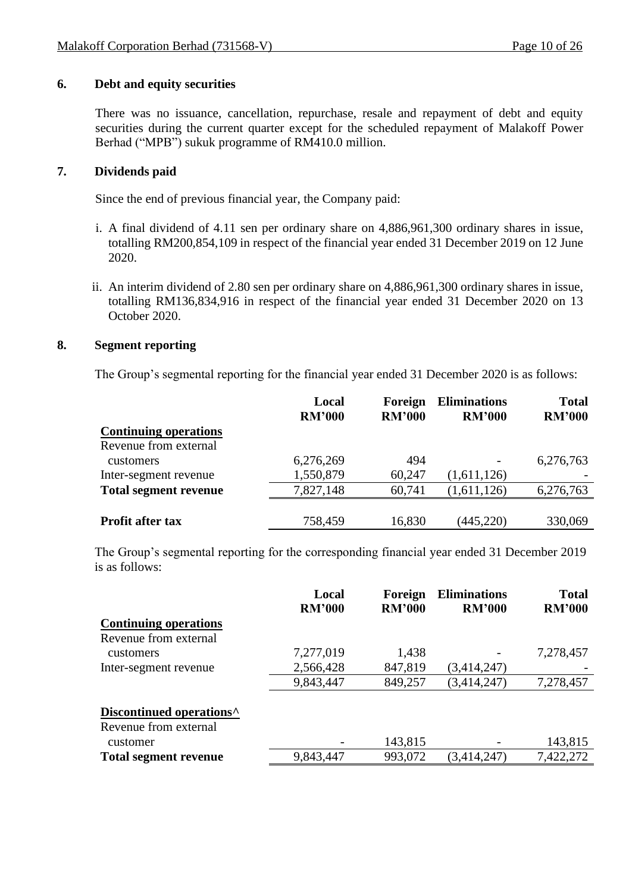### **6. Debt and equity securities**

There was no issuance, cancellation, repurchase, resale and repayment of debt and equity securities during the current quarter except for the scheduled repayment of Malakoff Power Berhad ("MPB") sukuk programme of RM410.0 million.

### **7. Dividends paid**

Since the end of previous financial year, the Company paid:

- i. A final dividend of 4.11 sen per ordinary share on 4,886,961,300 ordinary shares in issue, totalling RM200,854,109 in respect of the financial year ended 31 December 2019 on 12 June 2020.
- ii. An interim dividend of 2.80 sen per ordinary share on 4,886,961,300 ordinary shares in issue, totalling RM136,834,916 in respect of the financial year ended 31 December 2020 on 13 October 2020.

### **8. Segment reporting**

The Group's segmental reporting for the financial year ended 31 December 2020 is as follows:

|                              | Local<br><b>RM'000</b> | Foreign<br><b>RM'000</b> | <b>Eliminations</b><br><b>RM'000</b> | <b>Total</b><br><b>RM'000</b> |
|------------------------------|------------------------|--------------------------|--------------------------------------|-------------------------------|
| <b>Continuing operations</b> |                        |                          |                                      |                               |
| Revenue from external        |                        |                          |                                      |                               |
| <b>customers</b>             | 6,276,269              | 494                      | -                                    | 6,276,763                     |
| Inter-segment revenue        | 1,550,879              | 60,247                   | (1,611,126)                          |                               |
| <b>Total segment revenue</b> | 7,827,148              | 60,741                   | (1,611,126)                          | 6,276,763                     |
|                              |                        |                          |                                      |                               |
| <b>Profit after tax</b>      | 758,459                | 16,830                   | (445, 220)                           | 330,069                       |

The Group's segmental reporting for the corresponding financial year ended 31 December 2019 is as follows:

|                                      | Local<br><b>RM'000</b> | Foreign<br><b>RM'000</b> | <b>Eliminations</b><br><b>RM'000</b> | <b>Total</b><br><b>RM'000</b> |
|--------------------------------------|------------------------|--------------------------|--------------------------------------|-------------------------------|
| <b>Continuing operations</b>         |                        |                          |                                      |                               |
| Revenue from external                |                        |                          |                                      |                               |
| customers                            | 7,277,019              | 1,438                    |                                      | 7,278,457                     |
| Inter-segment revenue                | 2,566,428              | 847,819                  | (3,414,247)                          |                               |
|                                      | 9,843,447              | 849,257                  | (3,414,247)                          | 7,278,457                     |
| Discontinued operations <sup>^</sup> |                        |                          |                                      |                               |
| Revenue from external                |                        |                          |                                      |                               |
| customer                             |                        | 143,815                  |                                      | 143,815                       |
| <b>Total segment revenue</b>         | 9,843,447              | 993,072                  | (3,414,247)                          | 7,422,272                     |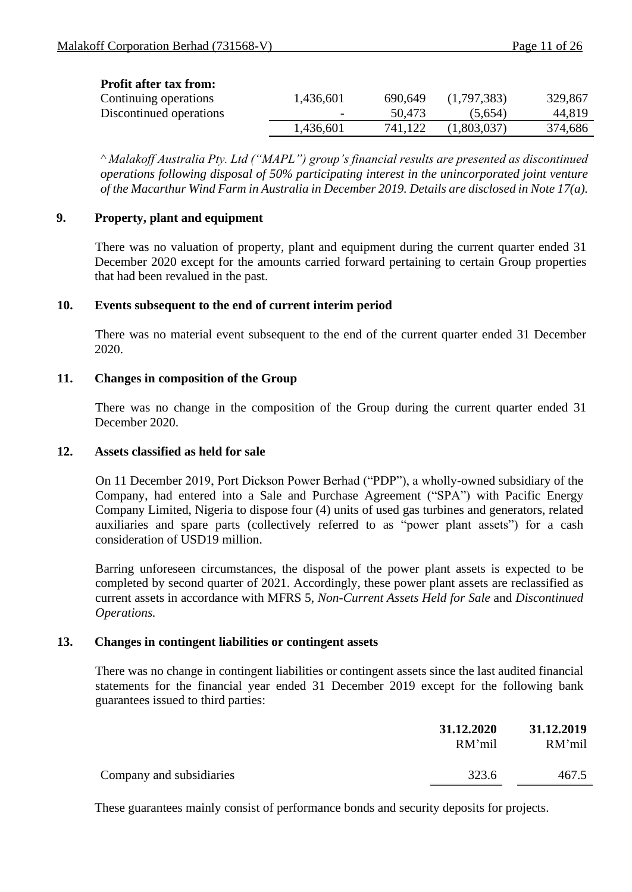| <b>Profit after tax from:</b> |           |         |             |         |
|-------------------------------|-----------|---------|-------------|---------|
| Continuing operations         | 1,436,601 | 690,649 | (1,797,383) | 329,867 |
| Discontinued operations       |           | 50,473  | (5,654)     | 44,819  |
|                               | 1,436,601 | 741,122 | (1,803,037) | 374,686 |
|                               |           |         |             |         |

*^ Malakoff Australia Pty. Ltd ("MAPL") group's financial results are presented as discontinued operations following disposal of 50% participating interest in the unincorporated joint venture of the Macarthur Wind Farm in Australia in December 2019. Details are disclosed in Note 17(a).*

### **9. Property, plant and equipment**

There was no valuation of property, plant and equipment during the current quarter ended 31 December 2020 except for the amounts carried forward pertaining to certain Group properties that had been revalued in the past.

### **10. Events subsequent to the end of current interim period**

There was no material event subsequent to the end of the current quarter ended 31 December 2020.

### **11. Changes in composition of the Group**

There was no change in the composition of the Group during the current quarter ended 31 December 2020.

### **12. Assets classified as held for sale**

On 11 December 2019, Port Dickson Power Berhad ("PDP"), a wholly-owned subsidiary of the Company, had entered into a Sale and Purchase Agreement ("SPA") with Pacific Energy Company Limited, Nigeria to dispose four (4) units of used gas turbines and generators, related auxiliaries and spare parts (collectively referred to as "power plant assets") for a cash consideration of USD19 million.

Barring unforeseen circumstances, the disposal of the power plant assets is expected to be completed by second quarter of 2021. Accordingly, these power plant assets are reclassified as current assets in accordance with MFRS 5, *Non-Current Assets Held for Sale* and *Discontinued Operations.*

### **13. Changes in contingent liabilities or contingent assets**

There was no change in contingent liabilities or contingent assets since the last audited financial statements for the financial year ended 31 December 2019 except for the following bank guarantees issued to third parties:

| 31.12.2020 | 31.12.2019 |
|------------|------------|
| RM'mil     | RM'mil     |
| 323.6      | 467.5      |
|            |            |

These guarantees mainly consist of performance bonds and security deposits for projects.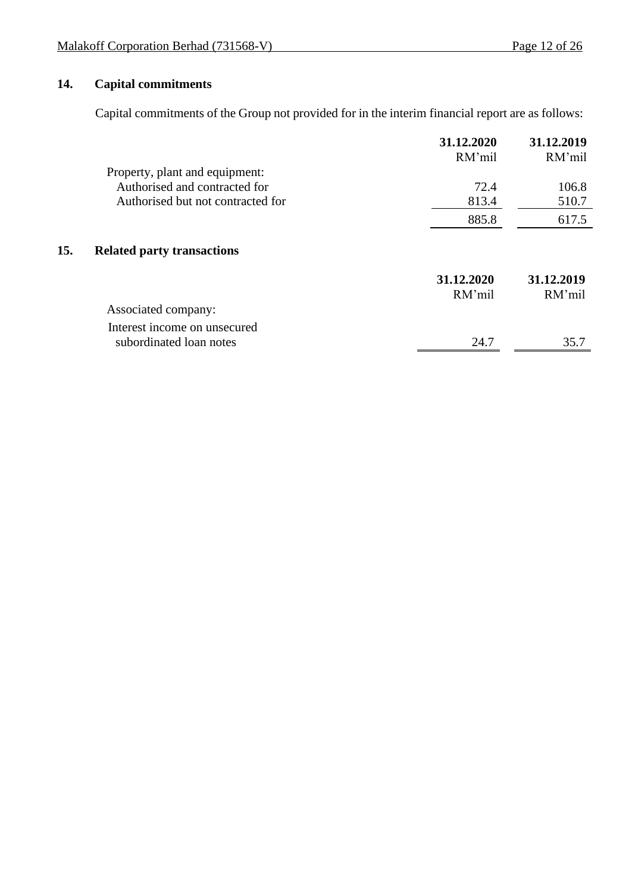### **14. Capital commitments**

 $15.$ 

Capital commitments of the Group not provided for in the interim financial report are as follows:

|                                                                 | 31.12.2020<br>RM'mil | 31.12.2019<br>RM'mil |
|-----------------------------------------------------------------|----------------------|----------------------|
| Property, plant and equipment:<br>Authorised and contracted for | 72.4                 |                      |
|                                                                 |                      | 106.8                |
| Authorised but not contracted for                               | 813.4                | 510.7                |
|                                                                 | 885.8                | 617.5                |
| <b>Related party transactions</b>                               |                      |                      |
|                                                                 | 31.12.2020           | 31.12.2019           |
|                                                                 | RM'mil               | RM'mil               |
| Associated company:                                             |                      |                      |
| Interest income on unsecured                                    |                      |                      |
| subordinated loan notes                                         | 24.7                 | 35.7                 |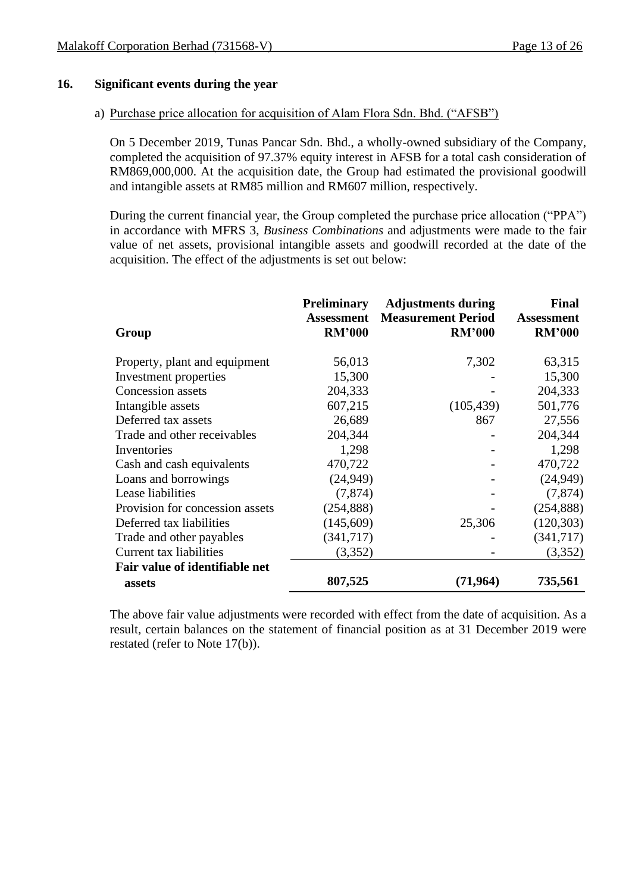### **16. Significant events during the year**

### a) Purchase price allocation for acquisition of Alam Flora Sdn. Bhd. ("AFSB")

On 5 December 2019, Tunas Pancar Sdn. Bhd., a wholly-owned subsidiary of the Company, completed the acquisition of 97.37% equity interest in AFSB for a total cash consideration of RM869,000,000. At the acquisition date, the Group had estimated the provisional goodwill and intangible assets at RM85 million and RM607 million, respectively.

During the current financial year, the Group completed the purchase price allocation ("PPA") in accordance with MFRS 3, *Business Combinations* and adjustments were made to the fair value of net assets, provisional intangible assets and goodwill recorded at the date of the acquisition. The effect of the adjustments is set out below:

| Group                           | <b>Preliminary</b><br><b>Assessment</b><br><b>RM'000</b> | <b>Adjustments during</b><br><b>Measurement Period</b><br><b>RM'000</b> | <b>Final</b><br><b>Assessment</b><br><b>RM'000</b> |
|---------------------------------|----------------------------------------------------------|-------------------------------------------------------------------------|----------------------------------------------------|
|                                 |                                                          |                                                                         |                                                    |
| Property, plant and equipment   | 56,013                                                   | 7,302                                                                   | 63,315                                             |
| Investment properties           | 15,300                                                   |                                                                         | 15,300                                             |
| Concession assets               | 204,333                                                  |                                                                         | 204,333                                            |
| Intangible assets               | 607,215                                                  | (105, 439)                                                              | 501,776                                            |
| Deferred tax assets             | 26,689                                                   | 867                                                                     | 27,556                                             |
| Trade and other receivables     | 204,344                                                  |                                                                         | 204,344                                            |
| Inventories                     | 1,298                                                    |                                                                         | 1,298                                              |
| Cash and cash equivalents       | 470,722                                                  |                                                                         | 470,722                                            |
| Loans and borrowings            | (24, 949)                                                |                                                                         | (24, 949)                                          |
| Lease liabilities               | (7, 874)                                                 |                                                                         | (7, 874)                                           |
| Provision for concession assets | (254, 888)                                               |                                                                         | (254, 888)                                         |
| Deferred tax liabilities        | (145,609)                                                | 25,306                                                                  | (120, 303)                                         |
| Trade and other payables        | (341, 717)                                               |                                                                         | (341, 717)                                         |
| Current tax liabilities         | (3,352)                                                  |                                                                         | (3,352)                                            |
| Fair value of identifiable net  |                                                          |                                                                         |                                                    |
| assets                          | 807,525                                                  | (71, 964)                                                               | 735,561                                            |

The above fair value adjustments were recorded with effect from the date of acquisition. As a result, certain balances on the statement of financial position as at 31 December 2019 were restated (refer to Note 17(b)).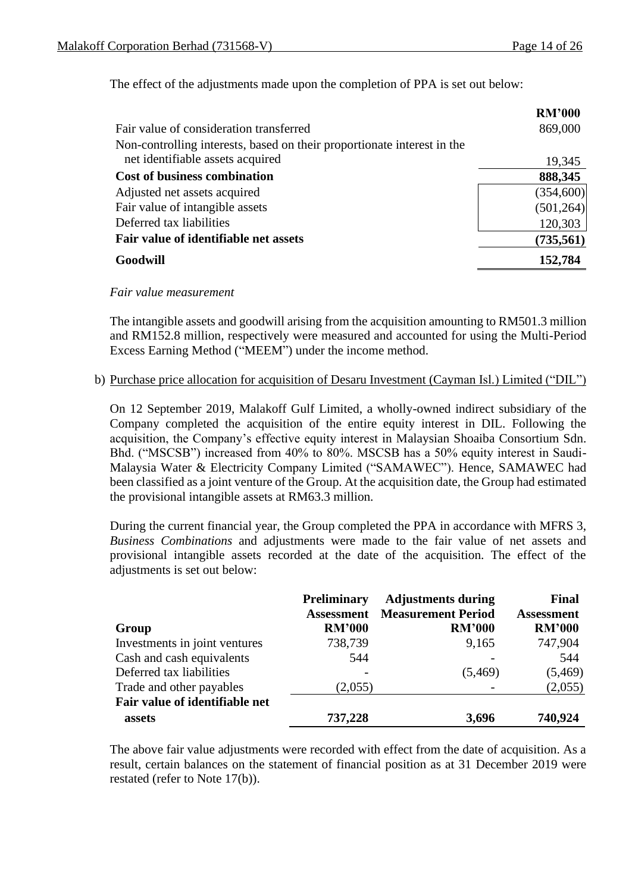The effect of the adjustments made upon the completion of PPA is set out below:

|                                                                         | <b>RM'000</b> |
|-------------------------------------------------------------------------|---------------|
| Fair value of consideration transferred                                 | 869,000       |
| Non-controlling interests, based on their proportionate interest in the |               |
| net identifiable assets acquired                                        | 19,345        |
| <b>Cost of business combination</b>                                     | 888,345       |
| Adjusted net assets acquired                                            | (354,600)     |
| Fair value of intangible assets                                         | (501, 264)    |
| Deferred tax liabilities                                                | 120,303       |
| Fair value of identifiable net assets                                   | (735, 561)    |
| Goodwill                                                                | 152,784       |

*Fair value measurement*

The intangible assets and goodwill arising from the acquisition amounting to RM501.3 million and RM152.8 million, respectively were measured and accounted for using the Multi-Period Excess Earning Method ("MEEM") under the income method.

b) Purchase price allocation for acquisition of Desaru Investment (Cayman Isl.) Limited ("DIL")

On 12 September 2019, Malakoff Gulf Limited, a wholly-owned indirect subsidiary of the Company completed the acquisition of the entire equity interest in DIL. Following the acquisition, the Company's effective equity interest in Malaysian Shoaiba Consortium Sdn. Bhd. ("MSCSB") increased from 40% to 80%. MSCSB has a 50% equity interest in Saudi-Malaysia Water & Electricity Company Limited ("SAMAWEC"). Hence, SAMAWEC had been classified as a joint venture of the Group. At the acquisition date, the Group had estimated the provisional intangible assets at RM63.3 million.

During the current financial year, the Group completed the PPA in accordance with MFRS 3, *Business Combinations* and adjustments were made to the fair value of net assets and provisional intangible assets recorded at the date of the acquisition. The effect of the adjustments is set out below:

|                                | <b>Preliminary</b><br><b>Assessment</b> | <b>Adjustments during</b><br><b>Measurement Period</b> | <b>Final</b><br><b>Assessment</b> |
|--------------------------------|-----------------------------------------|--------------------------------------------------------|-----------------------------------|
| Group                          | <b>RM'000</b>                           | <b>RM'000</b>                                          | <b>RM'000</b>                     |
| Investments in joint ventures  | 738,739                                 | 9,165                                                  | 747,904                           |
| Cash and cash equivalents      | 544                                     |                                                        | 544                               |
| Deferred tax liabilities       |                                         | (5, 469)                                               | (5, 469)                          |
| Trade and other payables       | (2,055)                                 |                                                        | (2,055)                           |
| Fair value of identifiable net |                                         |                                                        |                                   |
| assets                         | 737,228                                 | 3,696                                                  | 740,924                           |

The above fair value adjustments were recorded with effect from the date of acquisition. As a result, certain balances on the statement of financial position as at 31 December 2019 were restated (refer to Note 17(b)).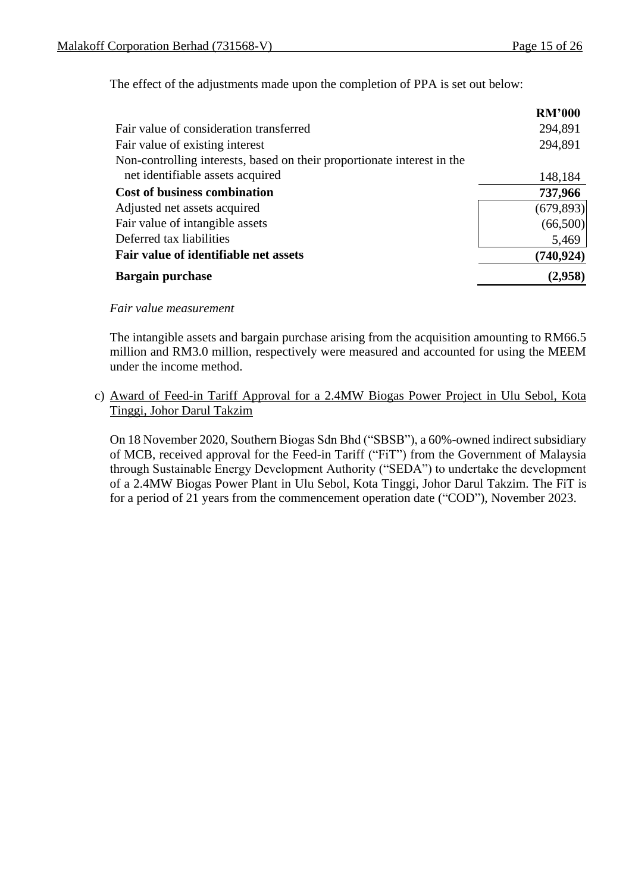The effect of the adjustments made upon the completion of PPA is set out below:

|                                                                         | <b>RM'000</b> |
|-------------------------------------------------------------------------|---------------|
| Fair value of consideration transferred                                 | 294,891       |
| Fair value of existing interest                                         | 294,891       |
| Non-controlling interests, based on their proportionate interest in the |               |
| net identifiable assets acquired                                        | 148,184       |
| <b>Cost of business combination</b>                                     | 737,966       |
| Adjusted net assets acquired                                            | (679, 893)    |
| Fair value of intangible assets                                         | (66,500)      |
| Deferred tax liabilities                                                | 5,469         |
| Fair value of identifiable net assets                                   | (740, 924)    |
| <b>Bargain purchase</b>                                                 | (2,958)       |

### *Fair value measurement*

The intangible assets and bargain purchase arising from the acquisition amounting to RM66.5 million and RM3.0 million, respectively were measured and accounted for using the MEEM under the income method.

### c) Award of Feed-in Tariff Approval for a 2.4MW Biogas Power Project in Ulu Sebol, Kota Tinggi, Johor Darul Takzim

On 18 November 2020, Southern Biogas Sdn Bhd ("SBSB"), a 60%-owned indirect subsidiary of MCB, received approval for the Feed-in Tariff ("FiT") from the Government of Malaysia through Sustainable Energy Development Authority ("SEDA") to undertake the development of a 2.4MW Biogas Power Plant in Ulu Sebol, Kota Tinggi, Johor Darul Takzim. The FiT is for a period of 21 years from the commencement operation date ("COD"), November 2023.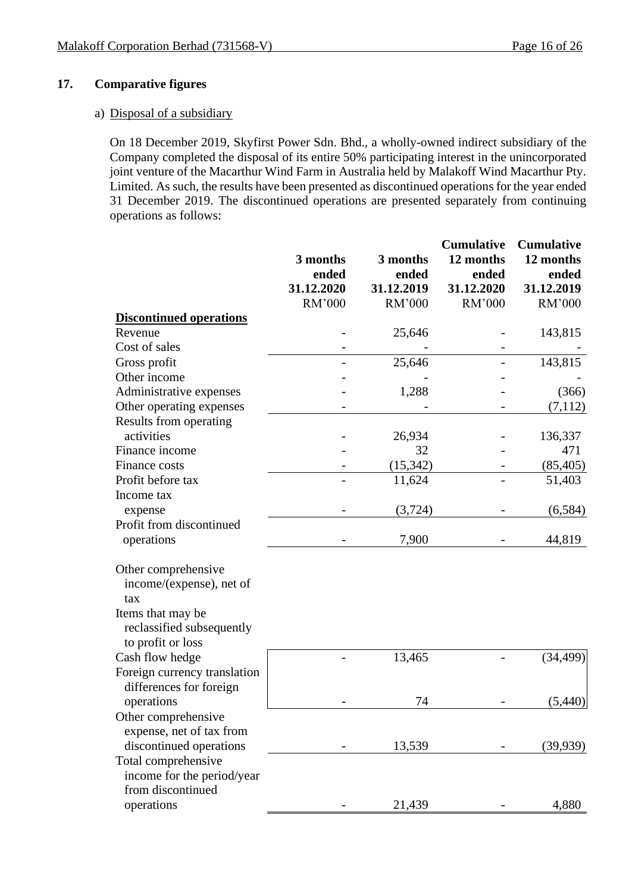### **17. Comparative figures**

#### a) Disposal of a subsidiary

On 18 December 2019, Skyfirst Power Sdn. Bhd., a wholly-owned indirect subsidiary of the Company completed the disposal of its entire 50% participating interest in the unincorporated joint venture of the Macarthur Wind Farm in Australia held by Malakoff Wind Macarthur Pty. Limited. As such, the results have been presented as discontinued operations for the year ended 31 December 2019. The discontinued operations are presented separately from continuing operations as follows:

|                                                                     | 3 months<br>ended<br>31.12.2020<br>RM'000 | 3 months<br>ended<br>31.12.2019<br>RM'000 | <b>Cumulative</b><br>12 months<br>ended<br>31.12.2020<br>RM'000 | <b>Cumulative</b><br>12 months<br>ended<br>31.12.2019<br>RM'000 |
|---------------------------------------------------------------------|-------------------------------------------|-------------------------------------------|-----------------------------------------------------------------|-----------------------------------------------------------------|
| <b>Discontinued operations</b>                                      |                                           |                                           |                                                                 |                                                                 |
| Revenue                                                             |                                           | 25,646                                    |                                                                 | 143,815                                                         |
| Cost of sales                                                       |                                           |                                           |                                                                 |                                                                 |
| Gross profit                                                        |                                           | 25,646                                    |                                                                 | 143,815                                                         |
| Other income                                                        |                                           |                                           |                                                                 |                                                                 |
| Administrative expenses                                             |                                           | 1,288                                     |                                                                 | (366)                                                           |
| Other operating expenses                                            |                                           |                                           |                                                                 | (7,112)                                                         |
| Results from operating                                              |                                           |                                           |                                                                 |                                                                 |
| activities                                                          |                                           | 26,934                                    |                                                                 | 136,337                                                         |
| Finance income                                                      |                                           | 32                                        |                                                                 | 471                                                             |
| Finance costs                                                       |                                           | (15, 342)                                 |                                                                 | (85, 405)                                                       |
| Profit before tax                                                   |                                           | 11,624                                    |                                                                 | 51,403                                                          |
| Income tax                                                          |                                           |                                           |                                                                 |                                                                 |
| expense                                                             |                                           | (3,724)                                   |                                                                 | (6, 584)                                                        |
| Profit from discontinued                                            |                                           |                                           |                                                                 |                                                                 |
| operations                                                          |                                           | 7,900                                     |                                                                 | 44,819                                                          |
| Other comprehensive<br>income/(expense), net of<br>tax              |                                           |                                           |                                                                 |                                                                 |
| Items that may be<br>reclassified subsequently<br>to profit or loss |                                           |                                           |                                                                 |                                                                 |
| Cash flow hedge                                                     |                                           | 13,465                                    |                                                                 | (34, 499)                                                       |
| Foreign currency translation                                        |                                           |                                           |                                                                 |                                                                 |
| differences for foreign                                             |                                           | 74                                        |                                                                 |                                                                 |
| operations                                                          |                                           |                                           |                                                                 | (5,440)                                                         |
| Other comprehensive                                                 |                                           |                                           |                                                                 |                                                                 |
| expense, net of tax from                                            |                                           | 13,539                                    |                                                                 |                                                                 |
| discontinued operations                                             |                                           |                                           |                                                                 | (39, 939)                                                       |
| Total comprehensive                                                 |                                           |                                           |                                                                 |                                                                 |
| income for the period/year<br>from discontinued                     |                                           |                                           |                                                                 |                                                                 |
|                                                                     |                                           |                                           |                                                                 |                                                                 |
| operations                                                          |                                           | 21,439                                    |                                                                 | 4,880                                                           |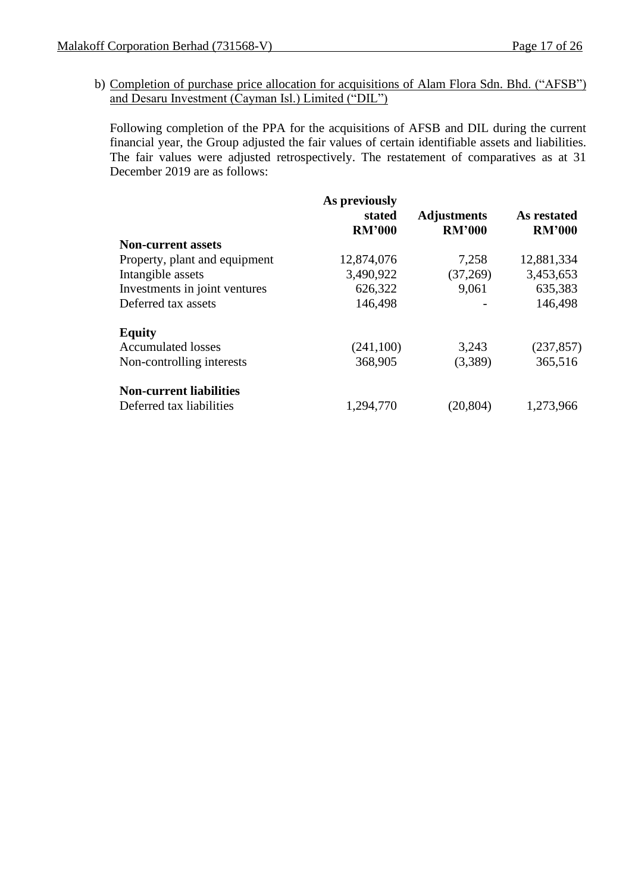b) Completion of purchase price allocation for acquisitions of Alam Flora Sdn. Bhd. ("AFSB") and Desaru Investment (Cayman Isl.) Limited ("DIL")

Following completion of the PPA for the acquisitions of AFSB and DIL during the current financial year, the Group adjusted the fair values of certain identifiable assets and liabilities. The fair values were adjusted retrospectively. The restatement of comparatives as at 31 December 2019 are as follows:

|                                | As previously<br>stated<br><b>RM'000</b> | <b>Adjustments</b><br><b>RM'000</b> | As restated<br><b>RM'000</b> |
|--------------------------------|------------------------------------------|-------------------------------------|------------------------------|
| <b>Non-current assets</b>      |                                          |                                     |                              |
| Property, plant and equipment  | 12,874,076                               | 7,258                               | 12,881,334                   |
| Intangible assets              | 3,490,922                                | (37,269)                            | 3,453,653                    |
| Investments in joint ventures  | 626,322                                  | 9,061                               | 635,383                      |
| Deferred tax assets            | 146,498                                  |                                     | 146,498                      |
| <b>Equity</b>                  |                                          |                                     |                              |
| <b>Accumulated losses</b>      | (241, 100)                               | 3,243                               | (237, 857)                   |
| Non-controlling interests      | 368,905                                  | (3,389)                             | 365,516                      |
| <b>Non-current liabilities</b> |                                          |                                     |                              |
| Deferred tax liabilities       | 1,294,770                                | (20, 804)                           | 1,273,966                    |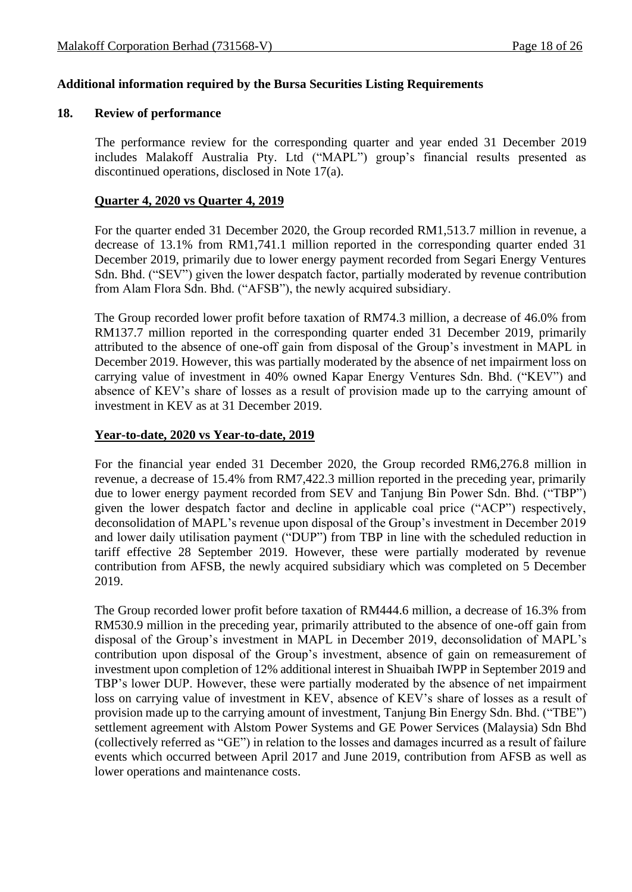### **Additional information required by the Bursa Securities Listing Requirements**

#### **18. Review of performance**

The performance review for the corresponding quarter and year ended 31 December 2019 includes Malakoff Australia Pty. Ltd ("MAPL") group's financial results presented as discontinued operations, disclosed in Note 17(a).

### **Quarter 4, 2020 vs Quarter 4, 2019**

For the quarter ended 31 December 2020, the Group recorded RM1,513.7 million in revenue, a decrease of 13.1% from RM1,741.1 million reported in the corresponding quarter ended 31 December 2019, primarily due to lower energy payment recorded from Segari Energy Ventures Sdn. Bhd. ("SEV") given the lower despatch factor, partially moderated by revenue contribution from Alam Flora Sdn. Bhd. ("AFSB"), the newly acquired subsidiary.

The Group recorded lower profit before taxation of RM74.3 million, a decrease of 46.0% from RM137.7 million reported in the corresponding quarter ended 31 December 2019, primarily attributed to the absence of one-off gain from disposal of the Group's investment in MAPL in December 2019. However, this was partially moderated by the absence of net impairment loss on carrying value of investment in 40% owned Kapar Energy Ventures Sdn. Bhd. ("KEV") and absence of KEV's share of losses as a result of provision made up to the carrying amount of investment in KEV as at 31 December 2019.

### **Year-to-date, 2020 vs Year-to-date, 2019**

For the financial year ended 31 December 2020, the Group recorded RM6,276.8 million in revenue, a decrease of 15.4% from RM7,422.3 million reported in the preceding year, primarily due to lower energy payment recorded from SEV and Tanjung Bin Power Sdn. Bhd. ("TBP") given the lower despatch factor and decline in applicable coal price ("ACP") respectively, deconsolidation of MAPL's revenue upon disposal of the Group's investment in December 2019 and lower daily utilisation payment ("DUP") from TBP in line with the scheduled reduction in tariff effective 28 September 2019. However, these were partially moderated by revenue contribution from AFSB, the newly acquired subsidiary which was completed on 5 December 2019.

The Group recorded lower profit before taxation of RM444.6 million, a decrease of 16.3% from RM530.9 million in the preceding year, primarily attributed to the absence of one-off gain from disposal of the Group's investment in MAPL in December 2019, deconsolidation of MAPL's contribution upon disposal of the Group's investment, absence of gain on remeasurement of investment upon completion of 12% additional interest in Shuaibah IWPP in September 2019 and TBP's lower DUP. However, these were partially moderated by the absence of net impairment loss on carrying value of investment in KEV, absence of KEV's share of losses as a result of provision made up to the carrying amount of investment, Tanjung Bin Energy Sdn. Bhd. ("TBE") settlement agreement with Alstom Power Systems and GE Power Services (Malaysia) Sdn Bhd (collectively referred as "GE") in relation to the losses and damages incurred as a result of failure events which occurred between April 2017 and June 2019, contribution from AFSB as well as lower operations and maintenance costs.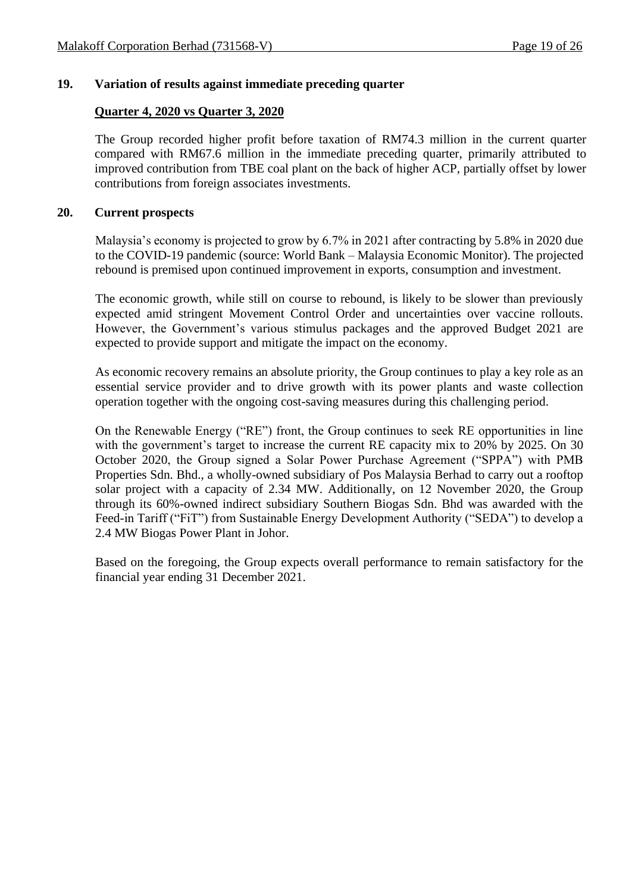### **19. Variation of results against immediate preceding quarter**

### **Quarter 4, 2020 vs Quarter 3, 2020**

The Group recorded higher profit before taxation of RM74.3 million in the current quarter compared with RM67.6 million in the immediate preceding quarter, primarily attributed to improved contribution from TBE coal plant on the back of higher ACP, partially offset by lower contributions from foreign associates investments.

#### **20. Current prospects**

Malaysia's economy is projected to grow by 6.7% in 2021 after contracting by 5.8% in 2020 due to the COVID-19 pandemic (source: World Bank – Malaysia Economic Monitor). The projected rebound is premised upon continued improvement in exports, consumption and investment.

The economic growth, while still on course to rebound, is likely to be slower than previously expected amid stringent Movement Control Order and uncertainties over vaccine rollouts. However, the Government's various stimulus packages and the approved Budget 2021 are expected to provide support and mitigate the impact on the economy.

As economic recovery remains an absolute priority, the Group continues to play a key role as an essential service provider and to drive growth with its power plants and waste collection operation together with the ongoing cost-saving measures during this challenging period.

On the Renewable Energy ("RE") front, the Group continues to seek RE opportunities in line with the government's target to increase the current RE capacity mix to 20% by 2025. On 30 October 2020, the Group signed a Solar Power Purchase Agreement ("SPPA") with PMB Properties Sdn. Bhd., a wholly-owned subsidiary of Pos Malaysia Berhad to carry out a rooftop solar project with a capacity of 2.34 MW. Additionally, on 12 November 2020, the Group through its 60%-owned indirect subsidiary Southern Biogas Sdn. Bhd was awarded with the Feed-in Tariff ("FiT") from Sustainable Energy Development Authority ("SEDA") to develop a 2.4 MW Biogas Power Plant in Johor.

Based on the foregoing, the Group expects overall performance to remain satisfactory for the financial year ending 31 December 2021.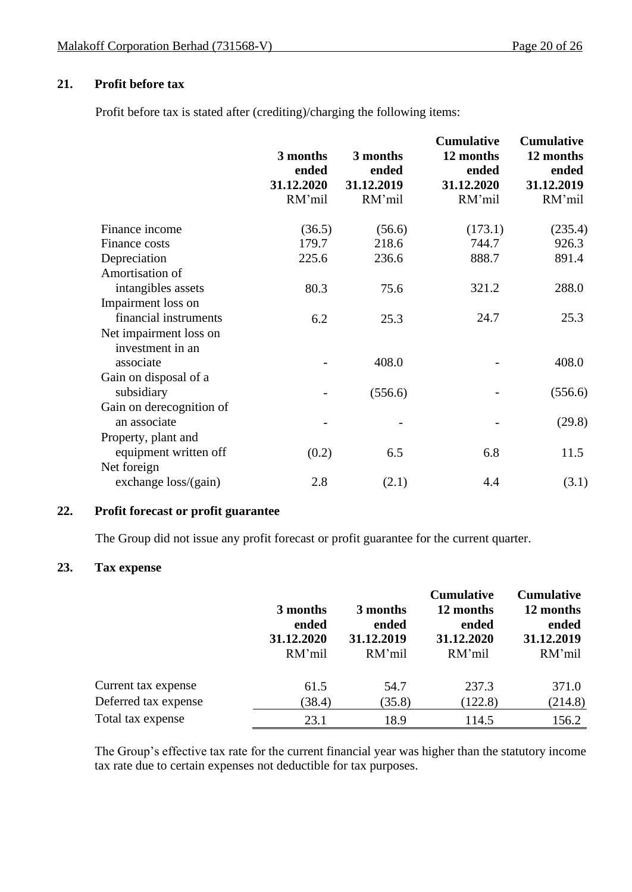### **21. Profit before tax**

Profit before tax is stated after (crediting)/charging the following items:

|                                                         | 3 months<br>ended<br>31.12.2020<br>RM'mil | 3 months<br>ended<br>31.12.2019<br>RM'mil | <b>Cumulative</b><br>12 months<br>ended<br>31.12.2020<br>RM'mil | <b>Cumulative</b><br>12 months<br>ended<br>31.12.2019<br>RM'mil |
|---------------------------------------------------------|-------------------------------------------|-------------------------------------------|-----------------------------------------------------------------|-----------------------------------------------------------------|
| Finance income                                          | (36.5)                                    | (56.6)                                    | (173.1)                                                         | (235.4)                                                         |
| Finance costs                                           | 179.7                                     | 218.6                                     | 744.7                                                           | 926.3                                                           |
| Depreciation                                            | 225.6                                     | 236.6                                     | 888.7                                                           | 891.4                                                           |
| Amortisation of                                         |                                           |                                           |                                                                 |                                                                 |
| intangibles assets                                      | 80.3                                      | 75.6                                      | 321.2                                                           | 288.0                                                           |
| Impairment loss on                                      |                                           |                                           |                                                                 |                                                                 |
| financial instruments                                   | 6.2                                       | 25.3                                      | 24.7                                                            | 25.3                                                            |
| Net impairment loss on<br>investment in an<br>associate |                                           | 408.0                                     |                                                                 | 408.0                                                           |
| Gain on disposal of a                                   |                                           |                                           |                                                                 |                                                                 |
| subsidiary                                              |                                           | (556.6)                                   |                                                                 | (556.6)                                                         |
| Gain on derecognition of                                |                                           |                                           |                                                                 |                                                                 |
| an associate                                            |                                           |                                           |                                                                 | (29.8)                                                          |
| Property, plant and                                     |                                           |                                           |                                                                 |                                                                 |
| equipment written off                                   | (0.2)                                     | 6.5                                       | 6.8                                                             | 11.5                                                            |
| Net foreign                                             |                                           |                                           |                                                                 |                                                                 |
| exchange loss/(gain)                                    | 2.8                                       | (2.1)                                     | 4.4                                                             | (3.1)                                                           |

### **22. Profit forecast or profit guarantee**

The Group did not issue any profit forecast or profit guarantee for the current quarter.

### **23. Tax expense**

|                      | 3 months<br>ended<br>31.12.2020<br>RM'mil | 3 months<br>ended<br>31.12.2019<br>RM'mil | <b>Cumulative</b><br>12 months<br>ended<br>31.12.2020<br>RM'mil | <b>Cumulative</b><br>12 months<br>ended<br>31.12.2019<br>RM'mil |
|----------------------|-------------------------------------------|-------------------------------------------|-----------------------------------------------------------------|-----------------------------------------------------------------|
| Current tax expense  | 61.5                                      | 54.7                                      | 237.3                                                           | 371.0                                                           |
| Deferred tax expense | (38.4)                                    | (35.8)                                    | (122.8)                                                         | (214.8)                                                         |
| Total tax expense    | 23.1                                      | 18.9                                      | 114.5                                                           | 156.2                                                           |

The Group's effective tax rate for the current financial year was higher than the statutory income tax rate due to certain expenses not deductible for tax purposes.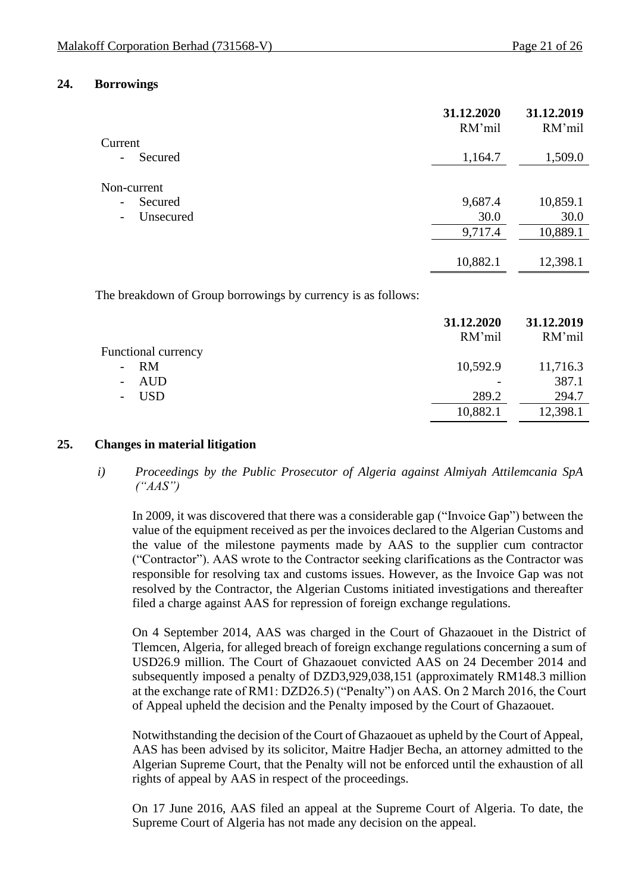#### **24. Borrowings**

|                                     | 31.12.2020<br>RM'mil | 31.12.2019<br>RM'mil |
|-------------------------------------|----------------------|----------------------|
| Current                             |                      |                      |
| Secured                             | 1,164.7              | 1,509.0              |
| Non-current                         |                      |                      |
| Secured<br>$\overline{\phantom{0}}$ | 9,687.4              | 10,859.1             |
| Unsecured                           | 30.0                 | 30.0                 |
|                                     | 9,717.4              | 10,889.1             |
|                                     |                      |                      |
|                                     | 10,882.1             | 12,398.1             |
|                                     |                      |                      |

The breakdown of Group borrowings by currency is as follows:

|                            | 31.12.2020<br>RM'mil | 31.12.2019<br>RM'mil |
|----------------------------|----------------------|----------------------|
| <b>Functional currency</b> |                      |                      |
| $- RM$                     | 10,592.9             | 11,716.3             |
| - AUD                      |                      | 387.1                |
| <b>USD</b>                 | 289.2                | 294.7                |
|                            | 10,882.1             | 12,398.1             |

### **25. Changes in material litigation**

### *i) Proceedings by the Public Prosecutor of Algeria against Almiyah Attilemcania SpA ("AAS")*

In 2009, it was discovered that there was a considerable gap ("Invoice Gap") between the value of the equipment received as per the invoices declared to the Algerian Customs and the value of the milestone payments made by AAS to the supplier cum contractor ("Contractor"). AAS wrote to the Contractor seeking clarifications as the Contractor was responsible for resolving tax and customs issues. However, as the Invoice Gap was not resolved by the Contractor, the Algerian Customs initiated investigations and thereafter filed a charge against AAS for repression of foreign exchange regulations.

On 4 September 2014, AAS was charged in the Court of Ghazaouet in the District of Tlemcen, Algeria, for alleged breach of foreign exchange regulations concerning a sum of USD26.9 million. The Court of Ghazaouet convicted AAS on 24 December 2014 and subsequently imposed a penalty of DZD3,929,038,151 (approximately RM148.3 million at the exchange rate of RM1: DZD26.5) ("Penalty") on AAS. On 2 March 2016, the Court of Appeal upheld the decision and the Penalty imposed by the Court of Ghazaouet.

Notwithstanding the decision of the Court of Ghazaouet as upheld by the Court of Appeal, AAS has been advised by its solicitor, Maitre Hadjer Becha, an attorney admitted to the Algerian Supreme Court, that the Penalty will not be enforced until the exhaustion of all rights of appeal by AAS in respect of the proceedings.

On 17 June 2016, AAS filed an appeal at the Supreme Court of Algeria. To date, the Supreme Court of Algeria has not made any decision on the appeal.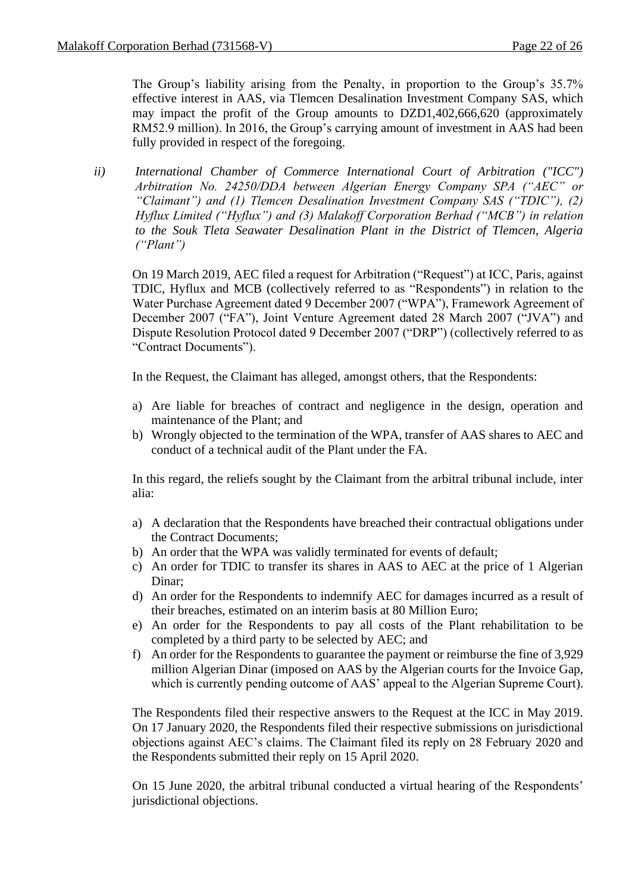The Group's liability arising from the Penalty, in proportion to the Group's 35.7% effective interest in AAS, via Tlemcen Desalination Investment Company SAS, which may impact the profit of the Group amounts to DZD1,402,666,620 (approximately RM52.9 million). In 2016, the Group's carrying amount of investment in AAS had been fully provided in respect of the foregoing.

*ii) International Chamber of Commerce International Court of Arbitration ("ICC") Arbitration No. 24250/DDA between Algerian Energy Company SPA ("AEC" or "Claimant") and (1) Tlemcen Desalination Investment Company SAS ("TDIC"), (2) Hyflux Limited ("Hyflux") and (3) Malakoff Corporation Berhad ("MCB") in relation to the Souk Tleta Seawater Desalination Plant in the District of Tlemcen, Algeria ("Plant")*

On 19 March 2019, AEC filed a request for Arbitration ("Request") at ICC, Paris, against TDIC, Hyflux and MCB (collectively referred to as "Respondents") in relation to the Water Purchase Agreement dated 9 December 2007 ("WPA"), Framework Agreement of December 2007 ("FA"), Joint Venture Agreement dated 28 March 2007 ("JVA") and Dispute Resolution Protocol dated 9 December 2007 ("DRP") (collectively referred to as "Contract Documents").

In the Request, the Claimant has alleged, amongst others, that the Respondents:

- a) Are liable for breaches of contract and negligence in the design, operation and maintenance of the Plant; and
- b) Wrongly objected to the termination of the WPA, transfer of AAS shares to AEC and conduct of a technical audit of the Plant under the FA.

In this regard, the reliefs sought by the Claimant from the arbitral tribunal include, inter alia:

- a) A declaration that the Respondents have breached their contractual obligations under the Contract Documents;
- b) An order that the WPA was validly terminated for events of default;
- c) An order for TDIC to transfer its shares in AAS to AEC at the price of 1 Algerian Dinar;
- d) An order for the Respondents to indemnify AEC for damages incurred as a result of their breaches, estimated on an interim basis at 80 Million Euro;
- e) An order for the Respondents to pay all costs of the Plant rehabilitation to be completed by a third party to be selected by AEC; and
- f) An order for the Respondents to guarantee the payment or reimburse the fine of 3,929 million Algerian Dinar (imposed on AAS by the Algerian courts for the Invoice Gap, which is currently pending outcome of AAS' appeal to the Algerian Supreme Court).

The Respondents filed their respective answers to the Request at the ICC in May 2019. On 17 January 2020, the Respondents filed their respective submissions on jurisdictional objections against AEC's claims. The Claimant filed its reply on 28 February 2020 and the Respondents submitted their reply on 15 April 2020.

On 15 June 2020, the arbitral tribunal conducted a virtual hearing of the Respondents' jurisdictional objections.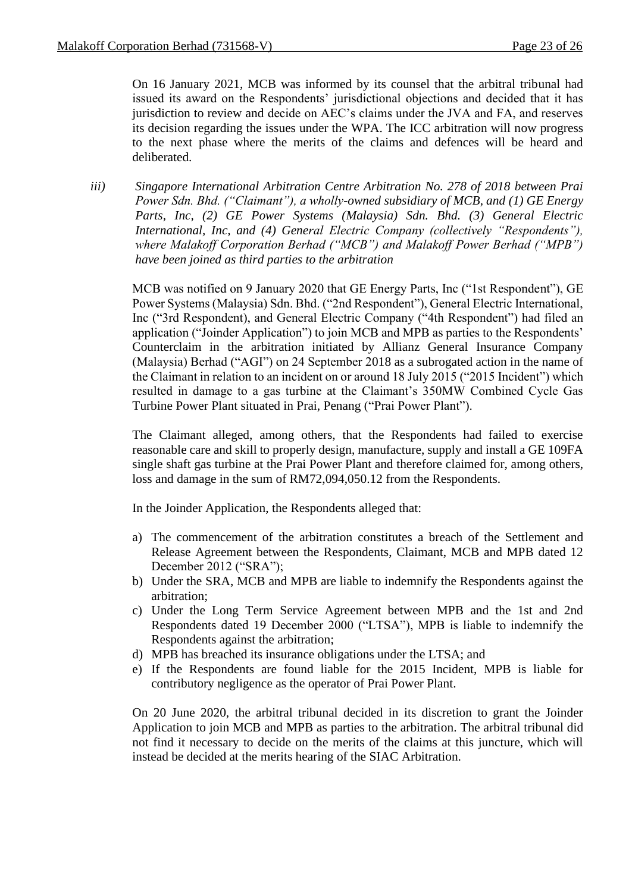On 16 January 2021, MCB was informed by its counsel that the arbitral tribunal had issued its award on the Respondents' jurisdictional objections and decided that it has jurisdiction to review and decide on AEC's claims under the JVA and FA, and reserves its decision regarding the issues under the WPA. The ICC arbitration will now progress to the next phase where the merits of the claims and defences will be heard and deliberated.

*iii) Singapore International Arbitration Centre Arbitration No. 278 of 2018 between Prai Power Sdn. Bhd. ("Claimant"), a wholly-owned subsidiary of MCB, and (1) GE Energy Parts, Inc, (2) GE Power Systems (Malaysia) Sdn. Bhd. (3) General Electric International, Inc, and (4) General Electric Company (collectively "Respondents"), where Malakoff Corporation Berhad ("MCB") and Malakoff Power Berhad ("MPB") have been joined as third parties to the arbitration*

MCB was notified on 9 January 2020 that GE Energy Parts, Inc ("1st Respondent"), GE Power Systems (Malaysia) Sdn. Bhd. ("2nd Respondent"), General Electric International, Inc ("3rd Respondent), and General Electric Company ("4th Respondent") had filed an application ("Joinder Application") to join MCB and MPB as parties to the Respondents' Counterclaim in the arbitration initiated by Allianz General Insurance Company (Malaysia) Berhad ("AGI") on 24 September 2018 as a subrogated action in the name of the Claimant in relation to an incident on or around 18 July 2015 ("2015 Incident") which resulted in damage to a gas turbine at the Claimant's 350MW Combined Cycle Gas Turbine Power Plant situated in Prai, Penang ("Prai Power Plant").

The Claimant alleged, among others, that the Respondents had failed to exercise reasonable care and skill to properly design, manufacture, supply and install a GE 109FA single shaft gas turbine at the Prai Power Plant and therefore claimed for, among others, loss and damage in the sum of RM72,094,050.12 from the Respondents.

In the Joinder Application, the Respondents alleged that:

- a) The commencement of the arbitration constitutes a breach of the Settlement and Release Agreement between the Respondents, Claimant, MCB and MPB dated 12 December 2012 ("SRA");
- b) Under the SRA, MCB and MPB are liable to indemnify the Respondents against the arbitration;
- c) Under the Long Term Service Agreement between MPB and the 1st and 2nd Respondents dated 19 December 2000 ("LTSA"), MPB is liable to indemnify the Respondents against the arbitration;
- d) MPB has breached its insurance obligations under the LTSA; and
- e) If the Respondents are found liable for the 2015 Incident, MPB is liable for contributory negligence as the operator of Prai Power Plant.

On 20 June 2020, the arbitral tribunal decided in its discretion to grant the Joinder Application to join MCB and MPB as parties to the arbitration. The arbitral tribunal did not find it necessary to decide on the merits of the claims at this juncture, which will instead be decided at the merits hearing of the SIAC Arbitration.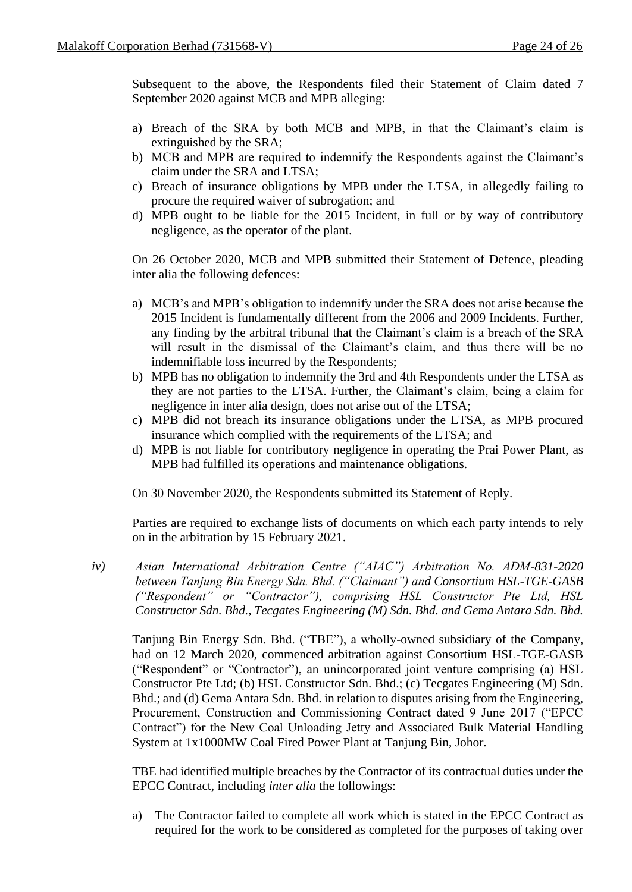Subsequent to the above, the Respondents filed their Statement of Claim dated 7 September 2020 against MCB and MPB alleging:

- a) Breach of the SRA by both MCB and MPB, in that the Claimant's claim is extinguished by the SRA;
- b) MCB and MPB are required to indemnify the Respondents against the Claimant's claim under the SRA and LTSA;
- c) Breach of insurance obligations by MPB under the LTSA, in allegedly failing to procure the required waiver of subrogation; and
- d) MPB ought to be liable for the 2015 Incident, in full or by way of contributory negligence, as the operator of the plant.

On 26 October 2020, MCB and MPB submitted their Statement of Defence, pleading inter alia the following defences:

- a) MCB's and MPB's obligation to indemnify under the SRA does not arise because the 2015 Incident is fundamentally different from the 2006 and 2009 Incidents. Further, any finding by the arbitral tribunal that the Claimant's claim is a breach of the SRA will result in the dismissal of the Claimant's claim, and thus there will be no indemnifiable loss incurred by the Respondents;
- b) MPB has no obligation to indemnify the 3rd and 4th Respondents under the LTSA as they are not parties to the LTSA. Further, the Claimant's claim, being a claim for negligence in inter alia design, does not arise out of the LTSA;
- c) MPB did not breach its insurance obligations under the LTSA, as MPB procured insurance which complied with the requirements of the LTSA; and
- d) MPB is not liable for contributory negligence in operating the Prai Power Plant, as MPB had fulfilled its operations and maintenance obligations.

On 30 November 2020, the Respondents submitted its Statement of Reply.

Parties are required to exchange lists of documents on which each party intends to rely on in the arbitration by 15 February 2021.

*iv) Asian International Arbitration Centre ("AIAC") Arbitration No. ADM-831-2020 between Tanjung Bin Energy Sdn. Bhd. ("Claimant") and Consortium HSL-TGE-GASB ("Respondent" or "Contractor"), comprising HSL Constructor Pte Ltd, HSL Constructor Sdn. Bhd., Tecgates Engineering (M) Sdn. Bhd. and Gema Antara Sdn. Bhd.*

Tanjung Bin Energy Sdn. Bhd. ("TBE"), a wholly-owned subsidiary of the Company, had on 12 March 2020, commenced arbitration against Consortium HSL-TGE-GASB ("Respondent" or "Contractor"), an unincorporated joint venture comprising (a) HSL Constructor Pte Ltd; (b) HSL Constructor Sdn. Bhd.; (c) Tecgates Engineering (M) Sdn. Bhd.; and (d) Gema Antara Sdn. Bhd. in relation to disputes arising from the Engineering, Procurement, Construction and Commissioning Contract dated 9 June 2017 ("EPCC Contract") for the New Coal Unloading Jetty and Associated Bulk Material Handling System at 1x1000MW Coal Fired Power Plant at Tanjung Bin, Johor.

TBE had identified multiple breaches by the Contractor of its contractual duties under the EPCC Contract, including *inter alia* the followings:

a) The Contractor failed to complete all work which is stated in the EPCC Contract as required for the work to be considered as completed for the purposes of taking over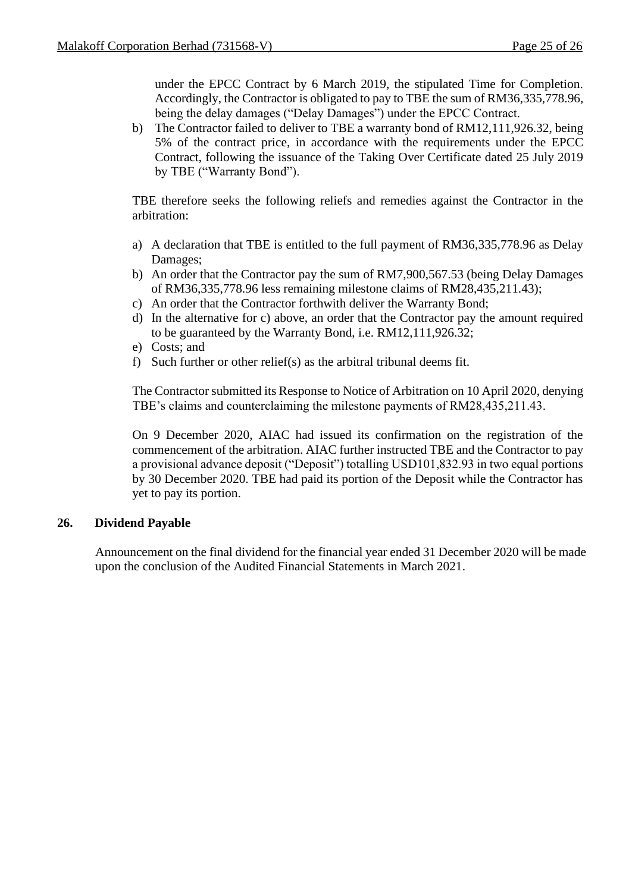under the EPCC Contract by 6 March 2019, the stipulated Time for Completion. Accordingly, the Contractor is obligated to pay to TBE the sum of RM36,335,778.96, being the delay damages ("Delay Damages") under the EPCC Contract.

b) The Contractor failed to deliver to TBE a warranty bond of RM12,111,926.32, being 5% of the contract price, in accordance with the requirements under the EPCC Contract, following the issuance of the Taking Over Certificate dated 25 July 2019 by TBE ("Warranty Bond").

TBE therefore seeks the following reliefs and remedies against the Contractor in the arbitration:

- a) A declaration that TBE is entitled to the full payment of RM36,335,778.96 as Delay Damages;
- b) An order that the Contractor pay the sum of RM7,900,567.53 (being Delay Damages of RM36,335,778.96 less remaining milestone claims of RM28,435,211.43);
- c) An order that the Contractor forthwith deliver the Warranty Bond;
- d) In the alternative for c) above, an order that the Contractor pay the amount required to be guaranteed by the Warranty Bond, i.e. RM12,111,926.32;
- e) Costs; and
- f) Such further or other relief(s) as the arbitral tribunal deems fit.

The Contractor submitted its Response to Notice of Arbitration on 10 April 2020, denying TBE's claims and counterclaiming the milestone payments of RM28,435,211.43.

On 9 December 2020, AIAC had issued its confirmation on the registration of the commencement of the arbitration. AIAC further instructed TBE and the Contractor to pay a provisional advance deposit ("Deposit") totalling USD101,832.93 in two equal portions by 30 December 2020. TBE had paid its portion of the Deposit while the Contractor has yet to pay its portion.

### **26. Dividend Payable**

Announcement on the final dividend for the financial year ended 31 December 2020 will be made upon the conclusion of the Audited Financial Statements in March 2021.